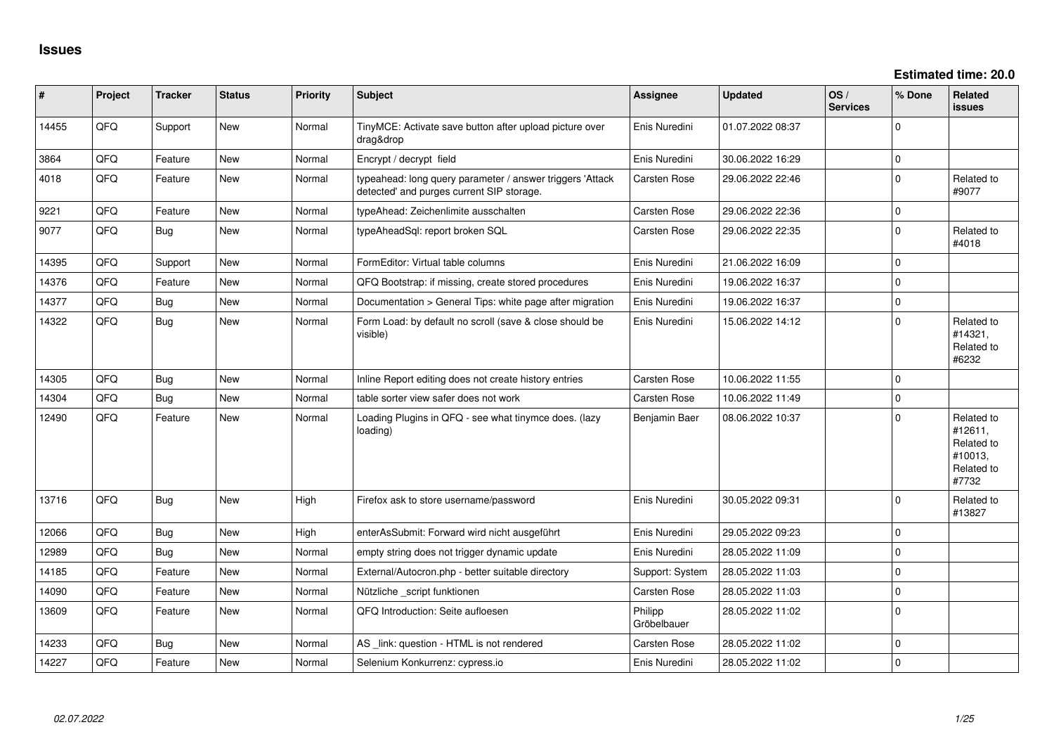| #     | Project | <b>Tracker</b> | <b>Status</b> | <b>Priority</b> | <b>Subject</b>                                                                                         | <b>Assignee</b>        | <b>Updated</b>   | OS/<br><b>Services</b> | % Done       | <b>Related</b><br><b>issues</b>                                       |
|-------|---------|----------------|---------------|-----------------|--------------------------------------------------------------------------------------------------------|------------------------|------------------|------------------------|--------------|-----------------------------------------------------------------------|
| 14455 | QFQ     | Support        | New           | Normal          | TinyMCE: Activate save button after upload picture over<br>drag&drop                                   | Enis Nuredini          | 01.07.2022 08:37 |                        | $\mathbf 0$  |                                                                       |
| 3864  | QFQ     | Feature        | <b>New</b>    | Normal          | Encrypt / decrypt field                                                                                | Enis Nuredini          | 30.06.2022 16:29 |                        | $\pmb{0}$    |                                                                       |
| 4018  | QFQ     | Feature        | <b>New</b>    | Normal          | typeahead: long query parameter / answer triggers 'Attack<br>detected' and purges current SIP storage. | Carsten Rose           | 29.06.2022 22:46 |                        | $\pmb{0}$    | Related to<br>#9077                                                   |
| 9221  | QFQ     | Feature        | <b>New</b>    | Normal          | typeAhead: Zeichenlimite ausschalten                                                                   | Carsten Rose           | 29.06.2022 22:36 |                        | 0            |                                                                       |
| 9077  | QFQ     | <b>Bug</b>     | <b>New</b>    | Normal          | typeAheadSql: report broken SQL                                                                        | Carsten Rose           | 29.06.2022 22:35 |                        | $\mathbf{0}$ | Related to<br>#4018                                                   |
| 14395 | QFQ     | Support        | <b>New</b>    | Normal          | FormEditor: Virtual table columns                                                                      | Enis Nuredini          | 21.06.2022 16:09 |                        | $\mathbf 0$  |                                                                       |
| 14376 | QFQ     | Feature        | <b>New</b>    | Normal          | QFQ Bootstrap: if missing, create stored procedures                                                    | Enis Nuredini          | 19.06.2022 16:37 |                        | 0            |                                                                       |
| 14377 | QFQ     | <b>Bug</b>     | <b>New</b>    | Normal          | Documentation > General Tips: white page after migration                                               | Enis Nuredini          | 19.06.2022 16:37 |                        | $\mathbf{0}$ |                                                                       |
| 14322 | QFQ     | <b>Bug</b>     | New           | Normal          | Form Load: by default no scroll (save & close should be<br>visible)                                    | Enis Nuredini          | 15.06.2022 14:12 |                        | $\mathbf{0}$ | Related to<br>#14321,<br>Related to<br>#6232                          |
| 14305 | QFQ     | Bug            | New           | Normal          | Inline Report editing does not create history entries                                                  | Carsten Rose           | 10.06.2022 11:55 |                        | $\mathbf 0$  |                                                                       |
| 14304 | QFQ     | <b>Bug</b>     | <b>New</b>    | Normal          | table sorter view safer does not work                                                                  | Carsten Rose           | 10.06.2022 11:49 |                        | $\pmb{0}$    |                                                                       |
| 12490 | QFQ     | Feature        | <b>New</b>    | Normal          | Loading Plugins in QFQ - see what tinymce does. (lazy<br>loading)                                      | Benjamin Baer          | 08.06.2022 10:37 |                        | $\mathbf 0$  | Related to<br>#12611,<br>Related to<br>#10013,<br>Related to<br>#7732 |
| 13716 | QFQ     | Bug            | <b>New</b>    | High            | Firefox ask to store username/password                                                                 | Enis Nuredini          | 30.05.2022 09:31 |                        | $\mathbf 0$  | Related to<br>#13827                                                  |
| 12066 | QFQ     | <b>Bug</b>     | New           | High            | enterAsSubmit: Forward wird nicht ausgeführt                                                           | Enis Nuredini          | 29.05.2022 09:23 |                        | $\mathbf{0}$ |                                                                       |
| 12989 | QFQ     | Bug            | <b>New</b>    | Normal          | empty string does not trigger dynamic update                                                           | Enis Nuredini          | 28.05.2022 11:09 |                        | $\pmb{0}$    |                                                                       |
| 14185 | QFQ     | Feature        | <b>New</b>    | Normal          | External/Autocron.php - better suitable directory                                                      | Support: System        | 28.05.2022 11:03 |                        | $\mathbf 0$  |                                                                       |
| 14090 | QFQ     | Feature        | <b>New</b>    | Normal          | Nützliche _script funktionen                                                                           | Carsten Rose           | 28.05.2022 11:03 |                        | $\pmb{0}$    |                                                                       |
| 13609 | QFQ     | Feature        | <b>New</b>    | Normal          | QFQ Introduction: Seite aufloesen                                                                      | Philipp<br>Gröbelbauer | 28.05.2022 11:02 |                        | $\mathbf 0$  |                                                                       |
| 14233 | QFQ     | Bug            | New           | Normal          | AS _link: question - HTML is not rendered                                                              | Carsten Rose           | 28.05.2022 11:02 |                        | $\pmb{0}$    |                                                                       |
| 14227 | QFQ     | Feature        | <b>New</b>    | Normal          | Selenium Konkurrenz: cypress.io                                                                        | Enis Nuredini          | 28.05.2022 11:02 |                        | $\pmb{0}$    |                                                                       |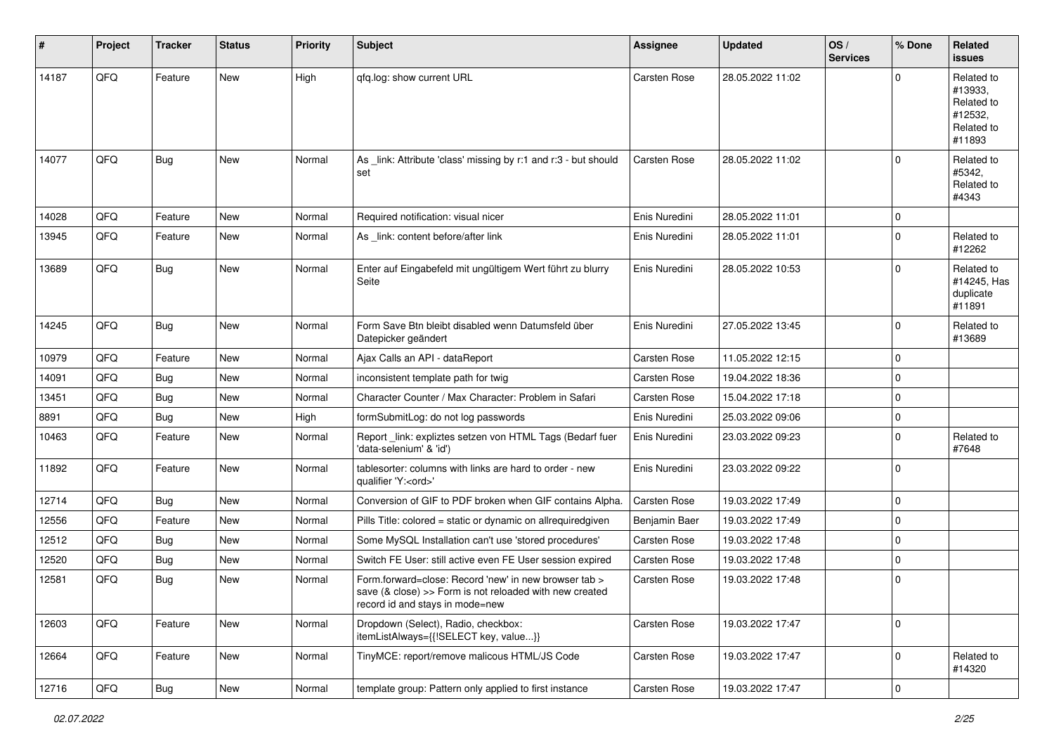| #     | Project | <b>Tracker</b> | <b>Status</b> | <b>Priority</b> | <b>Subject</b>                                                                                                                                      | <b>Assignee</b>     | <b>Updated</b>   | OS/<br><b>Services</b> | % Done         | Related<br><b>issues</b>                                               |
|-------|---------|----------------|---------------|-----------------|-----------------------------------------------------------------------------------------------------------------------------------------------------|---------------------|------------------|------------------------|----------------|------------------------------------------------------------------------|
| 14187 | QFQ     | Feature        | <b>New</b>    | High            | gfg.log: show current URL                                                                                                                           | Carsten Rose        | 28.05.2022 11:02 |                        | $\Omega$       | Related to<br>#13933,<br>Related to<br>#12532,<br>Related to<br>#11893 |
| 14077 | QFQ     | <b>Bug</b>     | New           | Normal          | As link: Attribute 'class' missing by r:1 and r:3 - but should<br>set                                                                               | Carsten Rose        | 28.05.2022 11:02 |                        | $\mathbf{0}$   | Related to<br>#5342.<br>Related to<br>#4343                            |
| 14028 | QFQ     | Feature        | <b>New</b>    | Normal          | Required notification: visual nicer                                                                                                                 | Enis Nuredini       | 28.05.2022 11:01 |                        | 0              |                                                                        |
| 13945 | QFQ     | Feature        | New           | Normal          | As _link: content before/after link                                                                                                                 | Enis Nuredini       | 28.05.2022 11:01 |                        | $\mathbf 0$    | Related to<br>#12262                                                   |
| 13689 | QFQ     | Bug            | New           | Normal          | Enter auf Eingabefeld mit ungültigem Wert führt zu blurry<br>Seite                                                                                  | Enis Nuredini       | 28.05.2022 10:53 |                        | $\mathbf 0$    | Related to<br>#14245, Has<br>duplicate<br>#11891                       |
| 14245 | QFQ     | Bug            | New           | Normal          | Form Save Btn bleibt disabled wenn Datumsfeld über<br>Datepicker geändert                                                                           | Enis Nuredini       | 27.05.2022 13:45 |                        | $\mathbf 0$    | Related to<br>#13689                                                   |
| 10979 | QFQ     | Feature        | New           | Normal          | Ajax Calls an API - dataReport                                                                                                                      | Carsten Rose        | 11.05.2022 12:15 |                        | $\mathbf 0$    |                                                                        |
| 14091 | QFQ     | <b>Bug</b>     | New           | Normal          | inconsistent template path for twig                                                                                                                 | Carsten Rose        | 19.04.2022 18:36 |                        | $\mathbf{0}$   |                                                                        |
| 13451 | QFQ     | Bug            | New           | Normal          | Character Counter / Max Character: Problem in Safari                                                                                                | Carsten Rose        | 15.04.2022 17:18 |                        | 0              |                                                                        |
| 8891  | QFQ     | <b>Bug</b>     | New           | High            | formSubmitLog: do not log passwords                                                                                                                 | Enis Nuredini       | 25.03.2022 09:06 |                        | $\mathbf 0$    |                                                                        |
| 10463 | QFQ     | Feature        | New           | Normal          | Report_link: expliztes setzen von HTML Tags (Bedarf fuer<br>'data-selenium' & 'id')                                                                 | Enis Nuredini       | 23.03.2022 09:23 |                        | $\mathbf 0$    | Related to<br>#7648                                                    |
| 11892 | QFQ     | Feature        | <b>New</b>    | Normal          | tablesorter: columns with links are hard to order - new<br>qualifier 'Y: <ord>'</ord>                                                               | Enis Nuredini       | 23.03.2022 09:22 |                        | $\mathbf 0$    |                                                                        |
| 12714 | QFQ     | Bug            | New           | Normal          | Conversion of GIF to PDF broken when GIF contains Alpha.                                                                                            | Carsten Rose        | 19.03.2022 17:49 |                        | $\mathbf 0$    |                                                                        |
| 12556 | QFQ     | Feature        | New           | Normal          | Pills Title: colored = static or dynamic on allrequiredgiven                                                                                        | Benjamin Baer       | 19.03.2022 17:49 |                        | $\mathbf 0$    |                                                                        |
| 12512 | QFQ     | Bug            | New           | Normal          | Some MySQL Installation can't use 'stored procedures'                                                                                               | Carsten Rose        | 19.03.2022 17:48 |                        | $\mathbf 0$    |                                                                        |
| 12520 | QFQ     | <b>Bug</b>     | New           | Normal          | Switch FE User: still active even FE User session expired                                                                                           | <b>Carsten Rose</b> | 19.03.2022 17:48 |                        | 0              |                                                                        |
| 12581 | QFQ     | Bug            | New           | Normal          | Form.forward=close: Record 'new' in new browser tab ><br>save (& close) >> Form is not reloaded with new created<br>record id and stays in mode=new | Carsten Rose        | 19.03.2022 17:48 |                        | 0              |                                                                        |
| 12603 | QFQ     | Feature        | New           | Normal          | Dropdown (Select), Radio, checkbox:<br>itemListAlways={{!SELECT key, value}}                                                                        | Carsten Rose        | 19.03.2022 17:47 |                        | $\mathbf 0$    |                                                                        |
| 12664 | QFQ     | Feature        | New           | Normal          | TinyMCE: report/remove malicous HTML/JS Code                                                                                                        | Carsten Rose        | 19.03.2022 17:47 |                        | $\overline{0}$ | Related to<br>#14320                                                   |
| 12716 | QFG     | Bug            | New           | Normal          | template group: Pattern only applied to first instance                                                                                              | Carsten Rose        | 19.03.2022 17:47 |                        | $\pmb{0}$      |                                                                        |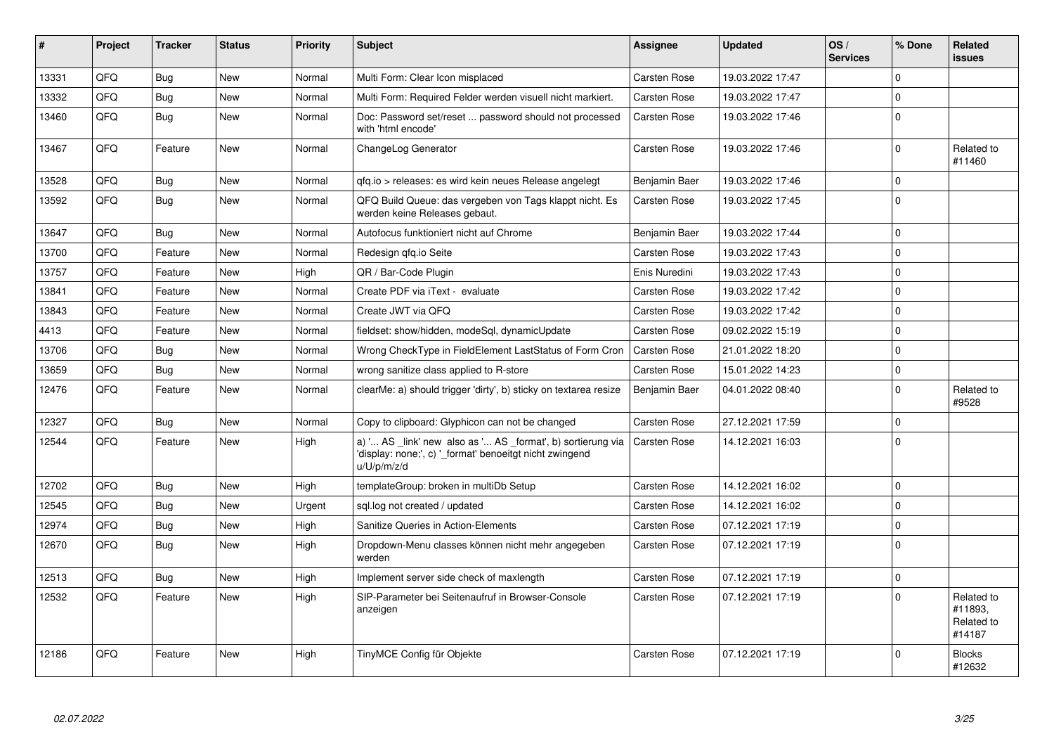| #     | Project | <b>Tracker</b> | <b>Status</b> | <b>Priority</b> | <b>Subject</b>                                                                                                                        | <b>Assignee</b>     | <b>Updated</b>   | OS/<br><b>Services</b> | % Done         | <b>Related</b><br><b>issues</b>               |
|-------|---------|----------------|---------------|-----------------|---------------------------------------------------------------------------------------------------------------------------------------|---------------------|------------------|------------------------|----------------|-----------------------------------------------|
| 13331 | QFQ     | <b>Bug</b>     | <b>New</b>    | Normal          | Multi Form: Clear Icon misplaced                                                                                                      | Carsten Rose        | 19.03.2022 17:47 |                        | $\Omega$       |                                               |
| 13332 | QFQ     | Bug            | New           | Normal          | Multi Form: Required Felder werden visuell nicht markiert.                                                                            | Carsten Rose        | 19.03.2022 17:47 |                        | 0              |                                               |
| 13460 | QFQ     | <b>Bug</b>     | New           | Normal          | Doc: Password set/reset  password should not processed<br>with 'html encode'                                                          | Carsten Rose        | 19.03.2022 17:46 |                        | $\mathbf 0$    |                                               |
| 13467 | QFQ     | Feature        | <b>New</b>    | Normal          | ChangeLog Generator                                                                                                                   | <b>Carsten Rose</b> | 19.03.2022 17:46 |                        | $\Omega$       | Related to<br>#11460                          |
| 13528 | QFQ     | Bug            | <b>New</b>    | Normal          | qfq.io > releases: es wird kein neues Release angelegt                                                                                | Benjamin Baer       | 19.03.2022 17:46 |                        | 0              |                                               |
| 13592 | QFQ     | <b>Bug</b>     | <b>New</b>    | Normal          | QFQ Build Queue: das vergeben von Tags klappt nicht. Es<br>werden keine Releases gebaut.                                              | Carsten Rose        | 19.03.2022 17:45 |                        | $\Omega$       |                                               |
| 13647 | QFQ     | Bug            | <b>New</b>    | Normal          | Autofocus funktioniert nicht auf Chrome                                                                                               | Benjamin Baer       | 19.03.2022 17:44 |                        | 0              |                                               |
| 13700 | QFQ     | Feature        | <b>New</b>    | Normal          | Redesign gfg.io Seite                                                                                                                 | Carsten Rose        | 19.03.2022 17:43 |                        | 0              |                                               |
| 13757 | QFQ     | Feature        | <b>New</b>    | High            | QR / Bar-Code Plugin                                                                                                                  | Enis Nuredini       | 19.03.2022 17:43 |                        | 0              |                                               |
| 13841 | QFQ     | Feature        | <b>New</b>    | Normal          | Create PDF via iText - evaluate                                                                                                       | Carsten Rose        | 19.03.2022 17:42 |                        | $\Omega$       |                                               |
| 13843 | QFQ     | Feature        | New           | Normal          | Create JWT via QFQ                                                                                                                    | Carsten Rose        | 19.03.2022 17:42 |                        | 0              |                                               |
| 4413  | QFQ     | Feature        | New           | Normal          | fieldset: show/hidden, modeSgl, dynamicUpdate                                                                                         | Carsten Rose        | 09.02.2022 15:19 |                        | 0              |                                               |
| 13706 | QFQ     | <b>Bug</b>     | <b>New</b>    | Normal          | Wrong CheckType in FieldElement LastStatus of Form Cron                                                                               | <b>Carsten Rose</b> | 21.01.2022 18:20 |                        | 0              |                                               |
| 13659 | QFQ     | <b>Bug</b>     | <b>New</b>    | Normal          | wrong sanitize class applied to R-store                                                                                               | Carsten Rose        | 15.01.2022 14:23 |                        | $\overline{0}$ |                                               |
| 12476 | QFQ     | Feature        | <b>New</b>    | Normal          | clearMe: a) should trigger 'dirty', b) sticky on textarea resize                                                                      | Benjamin Baer       | 04.01.2022 08:40 |                        | $\mathbf 0$    | Related to<br>#9528                           |
| 12327 | QFQ     | Bug            | <b>New</b>    | Normal          | Copy to clipboard: Glyphicon can not be changed                                                                                       | Carsten Rose        | 27.12.2021 17:59 |                        | 0              |                                               |
| 12544 | QFQ     | Feature        | <b>New</b>    | High            | a) ' AS _link' new also as ' AS _format', b) sortierung via<br>'display: none;', c) '_format' benoeitgt nicht zwingend<br>u/U/p/m/z/d | <b>Carsten Rose</b> | 14.12.2021 16:03 |                        | $\Omega$       |                                               |
| 12702 | QFQ     | Bug            | <b>New</b>    | High            | templateGroup: broken in multiDb Setup                                                                                                | Carsten Rose        | 14.12.2021 16:02 |                        | 0              |                                               |
| 12545 | QFQ     | <b>Bug</b>     | <b>New</b>    | Urgent          | sql.log not created / updated                                                                                                         | Carsten Rose        | 14.12.2021 16:02 |                        | $\Omega$       |                                               |
| 12974 | QFQ     | <b>Bug</b>     | <b>New</b>    | High            | Sanitize Queries in Action-Elements                                                                                                   | Carsten Rose        | 07.12.2021 17:19 |                        | $\Omega$       |                                               |
| 12670 | QFQ     | Bug            | New           | High            | Dropdown-Menu classes können nicht mehr angegeben<br>werden                                                                           | Carsten Rose        | 07.12.2021 17:19 |                        | $\Omega$       |                                               |
| 12513 | QFQ     | Bug            | <b>New</b>    | High            | Implement server side check of maxlength                                                                                              | Carsten Rose        | 07.12.2021 17:19 |                        | $\Omega$       |                                               |
| 12532 | QFQ     | Feature        | <b>New</b>    | High            | SIP-Parameter bei Seitenaufruf in Browser-Console<br>anzeigen                                                                         | Carsten Rose        | 07.12.2021 17:19 |                        | $\mathbf 0$    | Related to<br>#11893.<br>Related to<br>#14187 |
| 12186 | QFQ     | Feature        | <b>New</b>    | High            | TinyMCE Config für Objekte                                                                                                            | Carsten Rose        | 07.12.2021 17:19 |                        | 0              | <b>Blocks</b><br>#12632                       |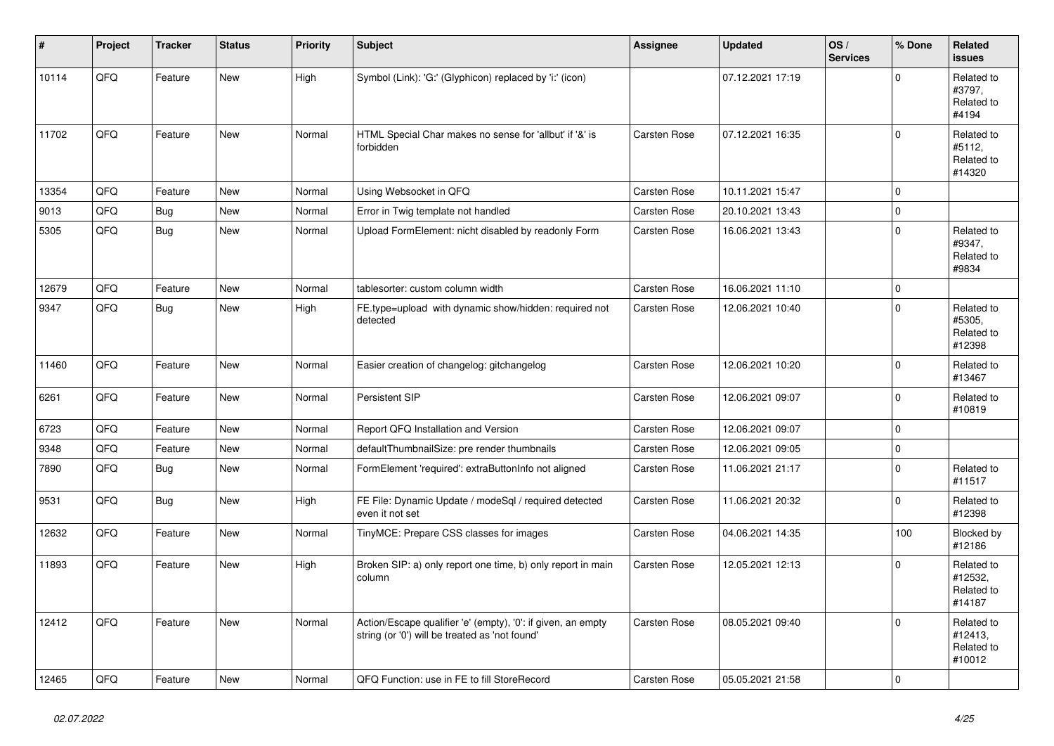| #     | Project | <b>Tracker</b> | <b>Status</b> | <b>Priority</b> | <b>Subject</b>                                                                                                 | <b>Assignee</b>     | <b>Updated</b>   | OS/<br><b>Services</b> | % Done       | <b>Related</b><br><b>issues</b>               |
|-------|---------|----------------|---------------|-----------------|----------------------------------------------------------------------------------------------------------------|---------------------|------------------|------------------------|--------------|-----------------------------------------------|
| 10114 | QFQ     | Feature        | <b>New</b>    | High            | Symbol (Link): 'G:' (Glyphicon) replaced by 'i:' (icon)                                                        |                     | 07.12.2021 17:19 |                        | $\Omega$     | Related to<br>#3797,<br>Related to<br>#4194   |
| 11702 | QFQ     | Feature        | <b>New</b>    | Normal          | HTML Special Char makes no sense for 'allbut' if '&' is<br>forbidden                                           | <b>Carsten Rose</b> | 07.12.2021 16:35 |                        | $\Omega$     | Related to<br>#5112.<br>Related to<br>#14320  |
| 13354 | QFQ     | Feature        | <b>New</b>    | Normal          | Using Websocket in QFQ                                                                                         | Carsten Rose        | 10.11.2021 15:47 |                        | $\Omega$     |                                               |
| 9013  | QFQ     | Bug            | <b>New</b>    | Normal          | Error in Twig template not handled                                                                             | Carsten Rose        | 20.10.2021 13:43 |                        | $\mathbf 0$  |                                               |
| 5305  | QFQ     | Bug            | New           | Normal          | Upload FormElement: nicht disabled by readonly Form                                                            | <b>Carsten Rose</b> | 16.06.2021 13:43 |                        | $\Omega$     | Related to<br>#9347,<br>Related to<br>#9834   |
| 12679 | QFQ     | Feature        | New           | Normal          | tablesorter: custom column width                                                                               | Carsten Rose        | 16.06.2021 11:10 |                        | $\mathbf 0$  |                                               |
| 9347  | QFQ     | Bug            | New           | High            | FE.type=upload with dynamic show/hidden: required not<br>detected                                              | Carsten Rose        | 12.06.2021 10:40 |                        | $\mathbf 0$  | Related to<br>#5305,<br>Related to<br>#12398  |
| 11460 | QFQ     | Feature        | <b>New</b>    | Normal          | Easier creation of changelog: gitchangelog                                                                     | <b>Carsten Rose</b> | 12.06.2021 10:20 |                        | $\Omega$     | Related to<br>#13467                          |
| 6261  | QFQ     | Feature        | New           | Normal          | Persistent SIP                                                                                                 | <b>Carsten Rose</b> | 12.06.2021 09:07 |                        | 0            | Related to<br>#10819                          |
| 6723  | QFQ     | Feature        | <b>New</b>    | Normal          | Report QFQ Installation and Version                                                                            | <b>Carsten Rose</b> | 12.06.2021 09:07 |                        | $\mathbf{0}$ |                                               |
| 9348  | QFQ     | Feature        | <b>New</b>    | Normal          | defaultThumbnailSize: pre render thumbnails                                                                    | <b>Carsten Rose</b> | 12.06.2021 09:05 |                        | $\mathbf 0$  |                                               |
| 7890  | QFQ     | <b>Bug</b>     | New           | Normal          | FormElement 'required': extraButtonInfo not aligned                                                            | Carsten Rose        | 11.06.2021 21:17 |                        | $\mathbf{0}$ | Related to<br>#11517                          |
| 9531  | QFQ     | Bug            | New           | High            | FE File: Dynamic Update / modeSql / required detected<br>even it not set                                       | <b>Carsten Rose</b> | 11.06.2021 20:32 |                        | $\mathbf 0$  | Related to<br>#12398                          |
| 12632 | QFQ     | Feature        | <b>New</b>    | Normal          | TinyMCE: Prepare CSS classes for images                                                                        | <b>Carsten Rose</b> | 04.06.2021 14:35 |                        | 100          | Blocked by<br>#12186                          |
| 11893 | QFQ     | Feature        | <b>New</b>    | High            | Broken SIP: a) only report one time, b) only report in main<br>column                                          | Carsten Rose        | 12.05.2021 12:13 |                        | $\Omega$     | Related to<br>#12532,<br>Related to<br>#14187 |
| 12412 | QFQ     | Feature        | New           | Normal          | Action/Escape qualifier 'e' (empty), '0': if given, an empty<br>string (or '0') will be treated as 'not found' | <b>Carsten Rose</b> | 08.05.2021 09:40 |                        | $\Omega$     | Related to<br>#12413,<br>Related to<br>#10012 |
| 12465 | QFQ     | Feature        | <b>New</b>    | Normal          | QFQ Function: use in FE to fill StoreRecord                                                                    | <b>Carsten Rose</b> | 05.05.2021 21:58 |                        | $\mathbf{0}$ |                                               |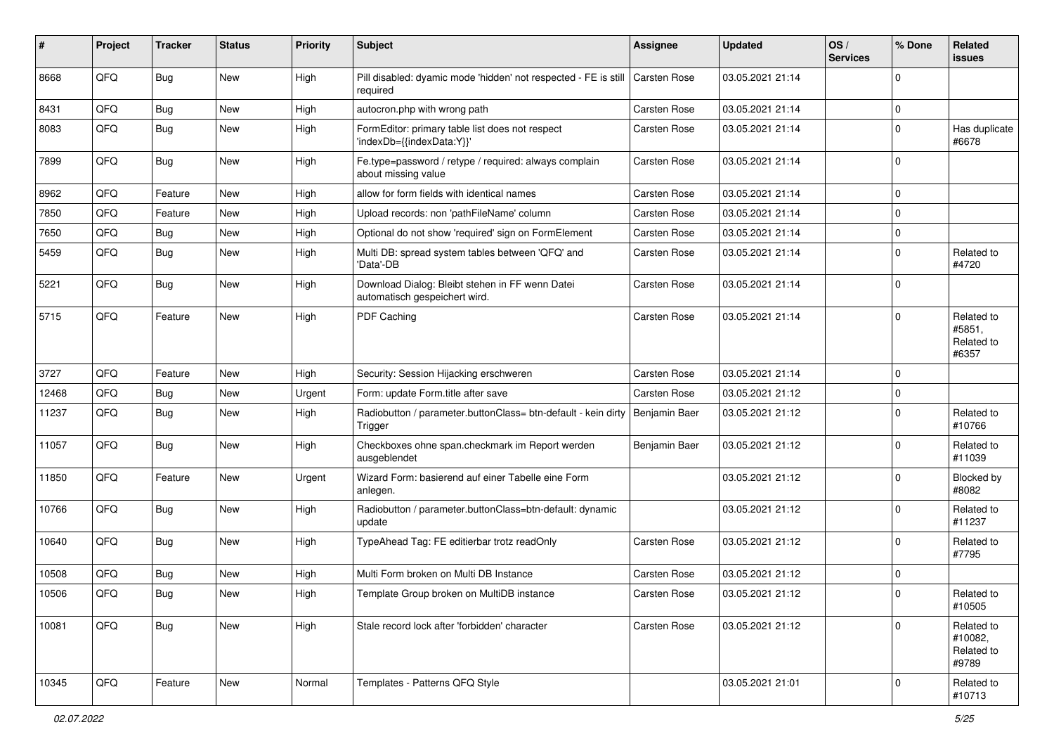| #     | Project | <b>Tracker</b> | <b>Status</b> | <b>Priority</b> | <b>Subject</b>                                                                   | <b>Assignee</b>     | <b>Updated</b>   | OS/<br><b>Services</b> | % Done       | Related<br><b>issues</b>                     |
|-------|---------|----------------|---------------|-----------------|----------------------------------------------------------------------------------|---------------------|------------------|------------------------|--------------|----------------------------------------------|
| 8668  | QFQ     | Bug            | New           | High            | Pill disabled: dyamic mode 'hidden' not respected - FE is still<br>required      | <b>Carsten Rose</b> | 03.05.2021 21:14 |                        | $\mathbf 0$  |                                              |
| 8431  | QFQ     | Bug            | New           | High            | autocron.php with wrong path                                                     | Carsten Rose        | 03.05.2021 21:14 |                        | 0            |                                              |
| 8083  | QFQ     | Bug            | New           | High            | FormEditor: primary table list does not respect<br>'indexDb={{indexData:Y}}'     | Carsten Rose        | 03.05.2021 21:14 |                        | 0            | Has duplicate<br>#6678                       |
| 7899  | QFQ     | Bug            | New           | High            | Fe.type=password / retype / required: always complain<br>about missing value     | Carsten Rose        | 03.05.2021 21:14 |                        | $\Omega$     |                                              |
| 8962  | QFQ     | Feature        | <b>New</b>    | High            | allow for form fields with identical names                                       | <b>Carsten Rose</b> | 03.05.2021 21:14 |                        | $\Omega$     |                                              |
| 7850  | QFQ     | Feature        | <b>New</b>    | High            | Upload records: non 'pathFileName' column                                        | Carsten Rose        | 03.05.2021 21:14 |                        | 0            |                                              |
| 7650  | QFQ     | <b>Bug</b>     | New           | High            | Optional do not show 'required' sign on FormElement                              | <b>Carsten Rose</b> | 03.05.2021 21:14 |                        | 0            |                                              |
| 5459  | QFQ     | <b>Bug</b>     | <b>New</b>    | High            | Multi DB: spread system tables between 'QFQ' and<br>'Data'-DB                    | Carsten Rose        | 03.05.2021 21:14 |                        | 0            | Related to<br>#4720                          |
| 5221  | QFQ     | Bug            | New           | High            | Download Dialog: Bleibt stehen in FF wenn Datei<br>automatisch gespeichert wird. | <b>Carsten Rose</b> | 03.05.2021 21:14 |                        | 0            |                                              |
| 5715  | QFQ     | Feature        | New           | High            | PDF Caching                                                                      | Carsten Rose        | 03.05.2021 21:14 |                        | $\mathbf 0$  | Related to<br>#5851,<br>Related to<br>#6357  |
| 3727  | QFQ     | Feature        | New           | High            | Security: Session Hijacking erschweren                                           | Carsten Rose        | 03.05.2021 21:14 |                        | $\Omega$     |                                              |
| 12468 | QFQ     | Bug            | New           | Urgent          | Form: update Form.title after save                                               | <b>Carsten Rose</b> | 03.05.2021 21:12 |                        | 0            |                                              |
| 11237 | QFQ     | Bug            | <b>New</b>    | High            | Radiobutton / parameter.buttonClass= btn-default - kein dirty<br>Trigger         | Benjamin Baer       | 03.05.2021 21:12 |                        | 0            | Related to<br>#10766                         |
| 11057 | QFQ     | Bug            | New           | High            | Checkboxes ohne span.checkmark im Report werden<br>ausgeblendet                  | Benjamin Baer       | 03.05.2021 21:12 |                        | 0            | Related to<br>#11039                         |
| 11850 | QFQ     | Feature        | <b>New</b>    | Urgent          | Wizard Form: basierend auf einer Tabelle eine Form<br>anlegen.                   |                     | 03.05.2021 21:12 |                        | $\mathbf 0$  | Blocked by<br>#8082                          |
| 10766 | QFQ     | Bug            | New           | High            | Radiobutton / parameter.buttonClass=btn-default: dynamic<br>update               |                     | 03.05.2021 21:12 |                        | 0            | Related to<br>#11237                         |
| 10640 | QFQ     | Bug            | New           | High            | TypeAhead Tag: FE editierbar trotz readOnly                                      | Carsten Rose        | 03.05.2021 21:12 |                        | $\mathbf 0$  | Related to<br>#7795                          |
| 10508 | QFQ     | Bug            | <b>New</b>    | High            | Multi Form broken on Multi DB Instance                                           | <b>Carsten Rose</b> | 03.05.2021 21:12 |                        | 0            |                                              |
| 10506 | QFQ     | Bug            | <b>New</b>    | High            | Template Group broken on MultiDB instance                                        | Carsten Rose        | 03.05.2021 21:12 |                        | 0            | Related to<br>#10505                         |
| 10081 | QFQ     | Bug            | New           | High            | Stale record lock after 'forbidden' character                                    | Carsten Rose        | 03.05.2021 21:12 |                        | $\mathbf{0}$ | Related to<br>#10082,<br>Related to<br>#9789 |
| 10345 | QFQ     | Feature        | New           | Normal          | Templates - Patterns QFQ Style                                                   |                     | 03.05.2021 21:01 |                        | $\mathbf 0$  | Related to<br>#10713                         |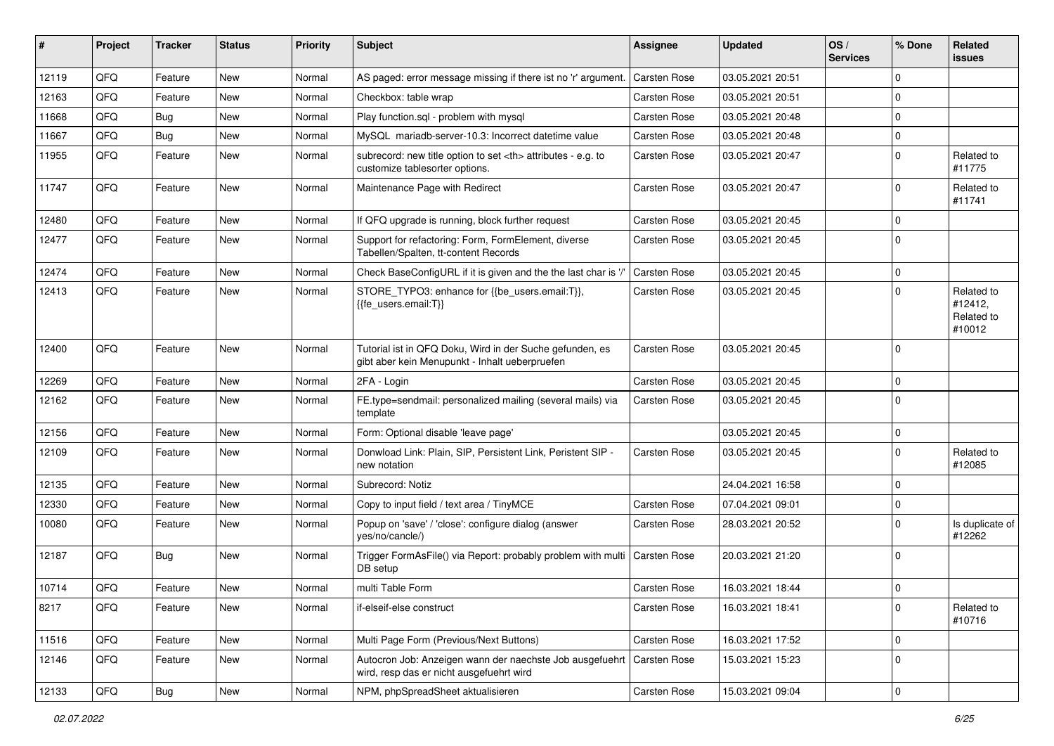| ∦     | Project | <b>Tracker</b> | <b>Status</b> | <b>Priority</b> | <b>Subject</b>                                                                                             | <b>Assignee</b>                                        | <b>Updated</b>   | OS/<br><b>Services</b> | % Done      | Related<br><b>issues</b>                      |                      |
|-------|---------|----------------|---------------|-----------------|------------------------------------------------------------------------------------------------------------|--------------------------------------------------------|------------------|------------------------|-------------|-----------------------------------------------|----------------------|
| 12119 | QFQ     | Feature        | New           | Normal          | AS paged: error message missing if there ist no 'r' argument.                                              | Carsten Rose                                           | 03.05.2021 20:51 |                        | $\mathbf 0$ |                                               |                      |
| 12163 | QFQ     | Feature        | New           | Normal          | Checkbox: table wrap                                                                                       | Carsten Rose                                           | 03.05.2021 20:51 |                        | 0           |                                               |                      |
| 11668 | QFQ     | <b>Bug</b>     | <b>New</b>    | Normal          | Play function.sql - problem with mysql                                                                     | Carsten Rose                                           | 03.05.2021 20:48 |                        | $\mathbf 0$ |                                               |                      |
| 11667 | QFQ     | Bug            | <b>New</b>    | Normal          | MySQL mariadb-server-10.3: Incorrect datetime value                                                        | Carsten Rose                                           | 03.05.2021 20:48 |                        | $\mathbf 0$ |                                               |                      |
| 11955 | QFQ     | Feature        | New           | Normal          | subrecord: new title option to set <th> attributes - e.g. to<br/>customize tablesorter options.</th>       | attributes - e.g. to<br>customize tablesorter options. | Carsten Rose     | 03.05.2021 20:47       |             | $\mathbf 0$                                   | Related to<br>#11775 |
| 11747 | QFQ     | Feature        | <b>New</b>    | Normal          | Maintenance Page with Redirect                                                                             | Carsten Rose                                           | 03.05.2021 20:47 |                        | $\mathbf 0$ | Related to<br>#11741                          |                      |
| 12480 | QFQ     | Feature        | New           | Normal          | If QFQ upgrade is running, block further request                                                           | <b>Carsten Rose</b>                                    | 03.05.2021 20:45 |                        | $\mathbf 0$ |                                               |                      |
| 12477 | QFQ     | Feature        | New           | Normal          | Support for refactoring: Form, FormElement, diverse<br>Tabellen/Spalten, tt-content Records                | <b>Carsten Rose</b>                                    | 03.05.2021 20:45 |                        | 0           |                                               |                      |
| 12474 | QFQ     | Feature        | <b>New</b>    | Normal          | Check BaseConfigURL if it is given and the the last char is '/'                                            | Carsten Rose                                           | 03.05.2021 20:45 |                        | $\mathbf 0$ |                                               |                      |
| 12413 | QFQ     | Feature        | New           | Normal          | STORE_TYPO3: enhance for {{be_users.email:T}},<br>{{fe users.email:T}}                                     | <b>Carsten Rose</b>                                    | 03.05.2021 20:45 |                        | 0           | Related to<br>#12412,<br>Related to<br>#10012 |                      |
| 12400 | QFQ     | Feature        | New           | Normal          | Tutorial ist in QFQ Doku, Wird in der Suche gefunden, es<br>gibt aber kein Menupunkt - Inhalt ueberpruefen | Carsten Rose                                           | 03.05.2021 20:45 |                        | $\mathbf 0$ |                                               |                      |
| 12269 | QFQ     | Feature        | <b>New</b>    | Normal          | 2FA - Login                                                                                                | <b>Carsten Rose</b>                                    | 03.05.2021 20:45 |                        | 0           |                                               |                      |
| 12162 | QFQ     | Feature        | New           | Normal          | FE.type=sendmail: personalized mailing (several mails) via<br>template                                     | <b>Carsten Rose</b>                                    | 03.05.2021 20:45 |                        | $\mathbf 0$ |                                               |                      |
| 12156 | QFQ     | Feature        | <b>New</b>    | Normal          | Form: Optional disable 'leave page'                                                                        |                                                        | 03.05.2021 20:45 |                        | 0           |                                               |                      |
| 12109 | QFQ     | Feature        | <b>New</b>    | Normal          | Donwload Link: Plain, SIP, Persistent Link, Peristent SIP -<br>new notation                                | Carsten Rose                                           | 03.05.2021 20:45 |                        | $\Omega$    | Related to<br>#12085                          |                      |
| 12135 | QFQ     | Feature        | <b>New</b>    | Normal          | Subrecord: Notiz                                                                                           |                                                        | 24.04.2021 16:58 |                        | $\mathbf 0$ |                                               |                      |
| 12330 | QFQ     | Feature        | <b>New</b>    | Normal          | Copy to input field / text area / TinyMCE                                                                  | Carsten Rose                                           | 07.04.2021 09:01 |                        | 0           |                                               |                      |
| 10080 | QFQ     | Feature        | New           | Normal          | Popup on 'save' / 'close': configure dialog (answer<br>yes/no/cancle/)                                     | Carsten Rose                                           | 28.03.2021 20:52 |                        | $\Omega$    | Is duplicate of<br>#12262                     |                      |
| 12187 | QFQ     | Bug            | <b>New</b>    | Normal          | Trigger FormAsFile() via Report: probably problem with multi<br>DB setup                                   | <b>Carsten Rose</b>                                    | 20.03.2021 21:20 |                        | $\mathbf 0$ |                                               |                      |
| 10714 | QFQ     | Feature        | New           | Normal          | multi Table Form                                                                                           | Carsten Rose                                           | 16.03.2021 18:44 |                        | 0           |                                               |                      |
| 8217  | QFQ     | Feature        | New           | Normal          | if-elseif-else construct                                                                                   | Carsten Rose                                           | 16.03.2021 18:41 |                        | $\mathbf 0$ | Related to<br>#10716                          |                      |
| 11516 | QFO     | Feature        | New           | Normal          | Multi Page Form (Previous/Next Buttons)                                                                    | Carsten Rose                                           | 16.03.2021 17:52 |                        | $\mathbf 0$ |                                               |                      |
| 12146 | QFQ     | Feature        | New           | Normal          | Autocron Job: Anzeigen wann der naechste Job ausgefuehrt<br>wird, resp das er nicht ausgefuehrt wird       | Carsten Rose                                           | 15.03.2021 15:23 |                        | $\mathbf 0$ |                                               |                      |
| 12133 | QFG     | <b>Bug</b>     | New           | Normal          | NPM, phpSpreadSheet aktualisieren                                                                          | Carsten Rose                                           | 15.03.2021 09:04 |                        | $\pmb{0}$   |                                               |                      |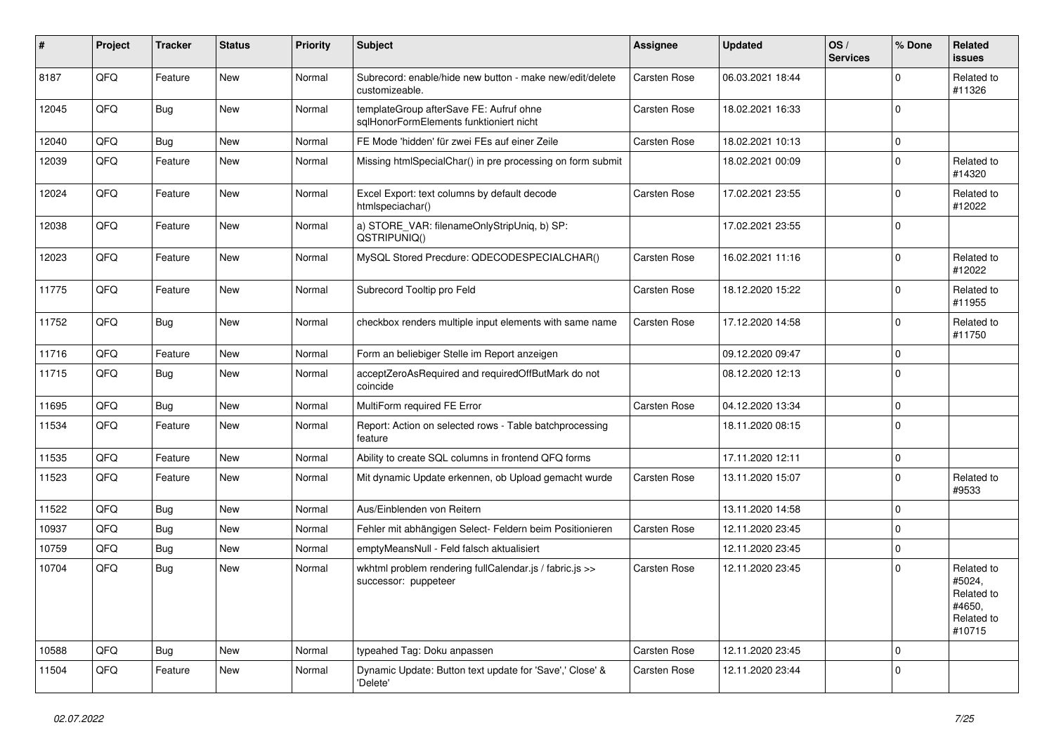| #     | Project | <b>Tracker</b> | <b>Status</b> | <b>Priority</b> | <b>Subject</b>                                                                     | Assignee            | <b>Updated</b>   | OS/<br><b>Services</b> | % Done      | Related<br><b>issues</b>                                             |
|-------|---------|----------------|---------------|-----------------|------------------------------------------------------------------------------------|---------------------|------------------|------------------------|-------------|----------------------------------------------------------------------|
| 8187  | QFQ     | Feature        | New           | Normal          | Subrecord: enable/hide new button - make new/edit/delete<br>customizeable.         | Carsten Rose        | 06.03.2021 18:44 |                        | $\Omega$    | Related to<br>#11326                                                 |
| 12045 | QFQ     | Bug            | <b>New</b>    | Normal          | templateGroup afterSave FE: Aufruf ohne<br>sqlHonorFormElements funktioniert nicht | Carsten Rose        | 18.02.2021 16:33 |                        | 0           |                                                                      |
| 12040 | QFQ     | <b>Bug</b>     | <b>New</b>    | Normal          | FE Mode 'hidden' für zwei FEs auf einer Zeile                                      | Carsten Rose        | 18.02.2021 10:13 |                        | $\Omega$    |                                                                      |
| 12039 | QFQ     | Feature        | <b>New</b>    | Normal          | Missing htmlSpecialChar() in pre processing on form submit                         |                     | 18.02.2021 00:09 |                        | $\Omega$    | Related to<br>#14320                                                 |
| 12024 | QFQ     | Feature        | <b>New</b>    | Normal          | Excel Export: text columns by default decode<br>htmlspeciachar()                   | Carsten Rose        | 17.02.2021 23:55 |                        | $\Omega$    | Related to<br>#12022                                                 |
| 12038 | QFQ     | Feature        | New           | Normal          | a) STORE_VAR: filenameOnlyStripUniq, b) SP:<br>QSTRIPUNIQ()                        |                     | 17.02.2021 23:55 |                        | $\mathbf 0$ |                                                                      |
| 12023 | QFQ     | Feature        | <b>New</b>    | Normal          | MySQL Stored Precdure: QDECODESPECIALCHAR()                                        | Carsten Rose        | 16.02.2021 11:16 |                        | 0           | Related to<br>#12022                                                 |
| 11775 | QFQ     | Feature        | <b>New</b>    | Normal          | Subrecord Tooltip pro Feld                                                         | Carsten Rose        | 18.12.2020 15:22 |                        | $\Omega$    | Related to<br>#11955                                                 |
| 11752 | QFQ     | <b>Bug</b>     | <b>New</b>    | Normal          | checkbox renders multiple input elements with same name                            | Carsten Rose        | 17.12.2020 14:58 |                        | $\mathbf 0$ | Related to<br>#11750                                                 |
| 11716 | QFQ     | Feature        | <b>New</b>    | Normal          | Form an beliebiger Stelle im Report anzeigen                                       |                     | 09.12.2020 09:47 |                        | 0           |                                                                      |
| 11715 | QFQ     | Bug            | <b>New</b>    | Normal          | acceptZeroAsRequired and requiredOffButMark do not<br>coincide                     |                     | 08.12.2020 12:13 |                        | $\Omega$    |                                                                      |
| 11695 | QFQ     | <b>Bug</b>     | New           | Normal          | MultiForm required FE Error                                                        | <b>Carsten Rose</b> | 04.12.2020 13:34 |                        | $\mathbf 0$ |                                                                      |
| 11534 | QFQ     | Feature        | <b>New</b>    | Normal          | Report: Action on selected rows - Table batchprocessing<br>feature                 |                     | 18.11.2020 08:15 |                        | 0           |                                                                      |
| 11535 | QFQ     | Feature        | <b>New</b>    | Normal          | Ability to create SQL columns in frontend QFQ forms                                |                     | 17.11.2020 12:11 |                        | 0           |                                                                      |
| 11523 | QFQ     | Feature        | <b>New</b>    | Normal          | Mit dynamic Update erkennen, ob Upload gemacht wurde                               | Carsten Rose        | 13.11.2020 15:07 |                        | $\Omega$    | Related to<br>#9533                                                  |
| 11522 | QFQ     | Bug            | <b>New</b>    | Normal          | Aus/Einblenden von Reitern                                                         |                     | 13.11.2020 14:58 |                        | $\Omega$    |                                                                      |
| 10937 | QFQ     | Bug            | <b>New</b>    | Normal          | Fehler mit abhängigen Select- Feldern beim Positionieren                           | <b>Carsten Rose</b> | 12.11.2020 23:45 |                        | 0           |                                                                      |
| 10759 | QFQ     | Bug            | <b>New</b>    | Normal          | emptyMeansNull - Feld falsch aktualisiert                                          |                     | 12.11.2020 23:45 |                        | $\mathbf 0$ |                                                                      |
| 10704 | QFQ     | <b>Bug</b>     | <b>New</b>    | Normal          | wkhtml problem rendering fullCalendar.js / fabric.js >><br>successor: puppeteer    | Carsten Rose        | 12.11.2020 23:45 |                        | $\Omega$    | Related to<br>#5024,<br>Related to<br>#4650.<br>Related to<br>#10715 |
| 10588 | QFQ     | <b>Bug</b>     | <b>New</b>    | Normal          | typeahed Tag: Doku anpassen                                                        | Carsten Rose        | 12.11.2020 23:45 |                        | 0           |                                                                      |
| 11504 | QFQ     | Feature        | New           | Normal          | Dynamic Update: Button text update for 'Save',' Close' &<br>'Delete'               | <b>Carsten Rose</b> | 12.11.2020 23:44 |                        | 0           |                                                                      |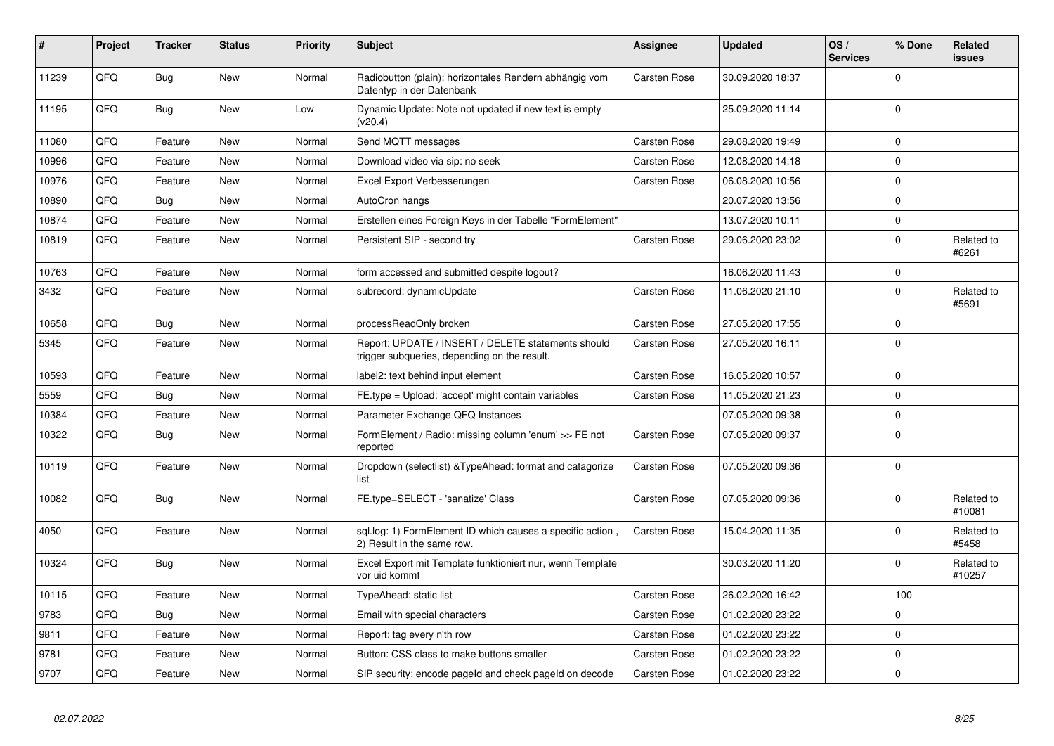| #     | Project | <b>Tracker</b> | <b>Status</b> | <b>Priority</b> | Subject                                                                                            | <b>Assignee</b>     | <b>Updated</b>   | OS/<br><b>Services</b> | % Done       | <b>Related</b><br><b>issues</b> |
|-------|---------|----------------|---------------|-----------------|----------------------------------------------------------------------------------------------------|---------------------|------------------|------------------------|--------------|---------------------------------|
| 11239 | QFQ     | Bug            | New           | Normal          | Radiobutton (plain): horizontales Rendern abhängig vom<br>Datentyp in der Datenbank                | <b>Carsten Rose</b> | 30.09.2020 18:37 |                        | $\Omega$     |                                 |
| 11195 | QFQ     | <b>Bug</b>     | <b>New</b>    | Low             | Dynamic Update: Note not updated if new text is empty<br>(v20.4)                                   |                     | 25.09.2020 11:14 |                        | $\Omega$     |                                 |
| 11080 | QFQ     | Feature        | <b>New</b>    | Normal          | Send MQTT messages                                                                                 | Carsten Rose        | 29.08.2020 19:49 |                        | $\mathbf 0$  |                                 |
| 10996 | QFQ     | Feature        | <b>New</b>    | Normal          | Download video via sip: no seek                                                                    | Carsten Rose        | 12.08.2020 14:18 |                        | $\mathbf 0$  |                                 |
| 10976 | QFQ     | Feature        | <b>New</b>    | Normal          | Excel Export Verbesserungen                                                                        | <b>Carsten Rose</b> | 06.08.2020 10:56 |                        | $\Omega$     |                                 |
| 10890 | QFQ     | Bug            | <b>New</b>    | Normal          | AutoCron hangs                                                                                     |                     | 20.07.2020 13:56 |                        | $\mathbf 0$  |                                 |
| 10874 | QFQ     | Feature        | New           | Normal          | Erstellen eines Foreign Keys in der Tabelle "FormElement"                                          |                     | 13.07.2020 10:11 |                        | $\mathbf 0$  |                                 |
| 10819 | QFQ     | Feature        | <b>New</b>    | Normal          | Persistent SIP - second try                                                                        | Carsten Rose        | 29.06.2020 23:02 |                        | $\mathbf 0$  | Related to<br>#6261             |
| 10763 | QFQ     | Feature        | <b>New</b>    | Normal          | form accessed and submitted despite logout?                                                        |                     | 16.06.2020 11:43 |                        | $\mathbf 0$  |                                 |
| 3432  | QFQ     | Feature        | <b>New</b>    | Normal          | subrecord: dynamicUpdate                                                                           | Carsten Rose        | 11.06.2020 21:10 |                        | $\mathbf 0$  | Related to<br>#5691             |
| 10658 | QFQ     | <b>Bug</b>     | New           | Normal          | processReadOnly broken                                                                             | <b>Carsten Rose</b> | 27.05.2020 17:55 |                        | $\mathbf 0$  |                                 |
| 5345  | QFQ     | Feature        | <b>New</b>    | Normal          | Report: UPDATE / INSERT / DELETE statements should<br>trigger subqueries, depending on the result. | Carsten Rose        | 27.05.2020 16:11 |                        | $\Omega$     |                                 |
| 10593 | QFQ     | Feature        | <b>New</b>    | Normal          | label2: text behind input element                                                                  | Carsten Rose        | 16.05.2020 10:57 |                        | $\mathbf 0$  |                                 |
| 5559  | QFQ     | Bug            | <b>New</b>    | Normal          | FE.type = Upload: 'accept' might contain variables                                                 | Carsten Rose        | 11.05.2020 21:23 |                        | $\mathbf 0$  |                                 |
| 10384 | QFQ     | Feature        | <b>New</b>    | Normal          | Parameter Exchange QFQ Instances                                                                   |                     | 07.05.2020 09:38 |                        | $\pmb{0}$    |                                 |
| 10322 | QFQ     | Bug            | <b>New</b>    | Normal          | FormElement / Radio: missing column 'enum' >> FE not<br>reported                                   | Carsten Rose        | 07.05.2020 09:37 |                        | $\mathbf{0}$ |                                 |
| 10119 | QFQ     | Feature        | <b>New</b>    | Normal          | Dropdown (selectlist) & Type Ahead: format and catagorize<br>list                                  | Carsten Rose        | 07.05.2020 09:36 |                        | $\mathbf 0$  |                                 |
| 10082 | QFQ     | Bug            | <b>New</b>    | Normal          | FE.type=SELECT - 'sanatize' Class                                                                  | Carsten Rose        | 07.05.2020 09:36 |                        | $\mathbf 0$  | Related to<br>#10081            |
| 4050  | QFQ     | Feature        | <b>New</b>    | Normal          | sql.log: 1) FormElement ID which causes a specific action,<br>2) Result in the same row.           | Carsten Rose        | 15.04.2020 11:35 |                        | $\Omega$     | Related to<br>#5458             |
| 10324 | QFQ     | Bug            | New           | Normal          | Excel Export mit Template funktioniert nur, wenn Template<br>vor uid kommt                         |                     | 30.03.2020 11:20 |                        | $\Omega$     | Related to<br>#10257            |
| 10115 | QFQ     | Feature        | <b>New</b>    | Normal          | TypeAhead: static list                                                                             | Carsten Rose        | 26.02.2020 16:42 |                        | 100          |                                 |
| 9783  | QFQ     | Bug            | <b>New</b>    | Normal          | Email with special characters                                                                      | Carsten Rose        | 01.02.2020 23:22 |                        | $\pmb{0}$    |                                 |
| 9811  | QFQ     | Feature        | <b>New</b>    | Normal          | Report: tag every n'th row                                                                         | <b>Carsten Rose</b> | 01.02.2020 23:22 |                        | $\mathbf 0$  |                                 |
| 9781  | QFQ     | Feature        | <b>New</b>    | Normal          | Button: CSS class to make buttons smaller                                                          | <b>Carsten Rose</b> | 01.02.2020 23:22 |                        | $\mathbf 0$  |                                 |
| 9707  | QFQ     | Feature        | New           | Normal          | SIP security: encode pageld and check pageld on decode                                             | <b>Carsten Rose</b> | 01.02.2020 23:22 |                        | $\mathbf 0$  |                                 |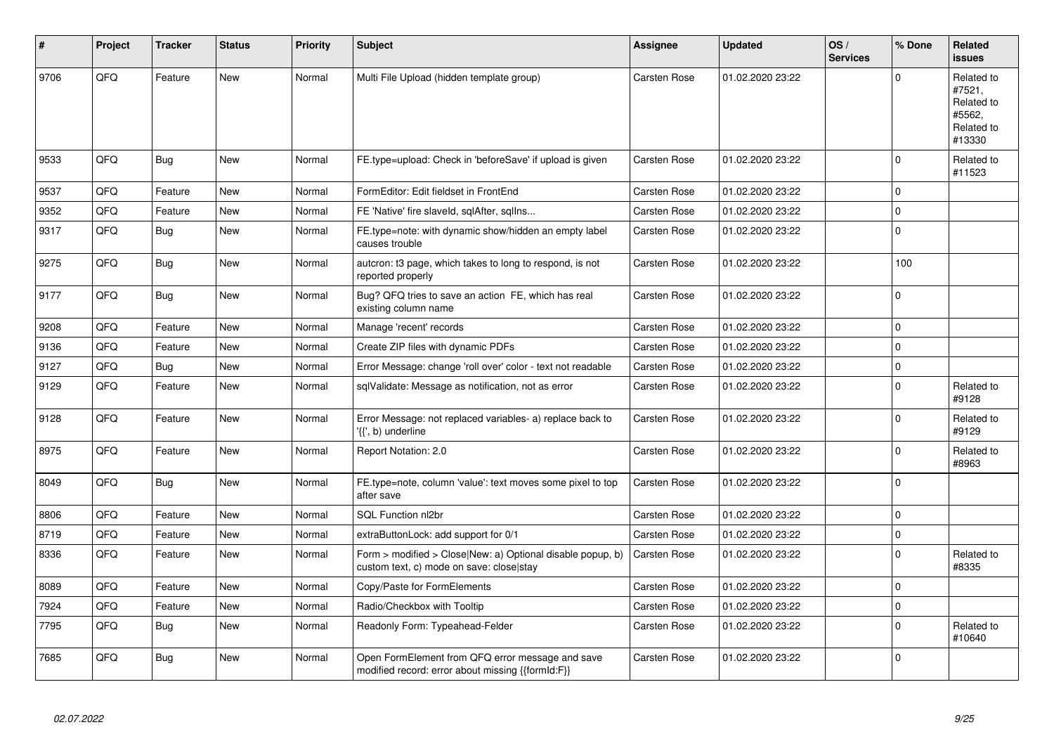| $\sharp$ | Project | <b>Tracker</b> | <b>Status</b> | <b>Priority</b> | <b>Subject</b>                                                                                         | <b>Assignee</b>     | <b>Updated</b>   | OS/<br><b>Services</b> | % Done       | <b>Related</b><br><b>issues</b>                                      |
|----------|---------|----------------|---------------|-----------------|--------------------------------------------------------------------------------------------------------|---------------------|------------------|------------------------|--------------|----------------------------------------------------------------------|
| 9706     | QFQ     | Feature        | <b>New</b>    | Normal          | Multi File Upload (hidden template group)                                                              | <b>Carsten Rose</b> | 01.02.2020 23:22 |                        | $\Omega$     | Related to<br>#7521,<br>Related to<br>#5562,<br>Related to<br>#13330 |
| 9533     | QFQ     | Bug            | <b>New</b>    | Normal          | FE.type=upload: Check in 'beforeSave' if upload is given                                               | Carsten Rose        | 01.02.2020 23:22 |                        | 0            | Related to<br>#11523                                                 |
| 9537     | QFQ     | Feature        | <b>New</b>    | Normal          | FormEditor: Edit fieldset in FrontEnd                                                                  | Carsten Rose        | 01.02.2020 23:22 |                        | $\Omega$     |                                                                      |
| 9352     | QFQ     | Feature        | New           | Normal          | FE 'Native' fire slaveld, sqlAfter, sqlIns                                                             | Carsten Rose        | 01.02.2020 23:22 |                        | 0            |                                                                      |
| 9317     | QFQ     | Bug            | <b>New</b>    | Normal          | FE.type=note: with dynamic show/hidden an empty label<br>causes trouble                                | Carsten Rose        | 01.02.2020 23:22 |                        | $\pmb{0}$    |                                                                      |
| 9275     | QFQ     | Bug            | New           | Normal          | autcron: t3 page, which takes to long to respond, is not<br>reported properly                          | Carsten Rose        | 01.02.2020 23:22 |                        | 100          |                                                                      |
| 9177     | QFQ     | <b>Bug</b>     | <b>New</b>    | Normal          | Bug? QFQ tries to save an action FE, which has real<br>existing column name                            | Carsten Rose        | 01.02.2020 23:22 |                        | $\Omega$     |                                                                      |
| 9208     | QFQ     | Feature        | New           | Normal          | Manage 'recent' records                                                                                | Carsten Rose        | 01.02.2020 23:22 |                        | $\mathbf 0$  |                                                                      |
| 9136     | QFQ     | Feature        | <b>New</b>    | Normal          | Create ZIP files with dynamic PDFs                                                                     | Carsten Rose        | 01.02.2020 23:22 |                        | 0            |                                                                      |
| 9127     | QFQ     | Bug            | New           | Normal          | Error Message: change 'roll over' color - text not readable                                            | Carsten Rose        | 01.02.2020 23:22 |                        | $\pmb{0}$    |                                                                      |
| 9129     | QFQ     | Feature        | <b>New</b>    | Normal          | sqlValidate: Message as notification, not as error                                                     | Carsten Rose        | 01.02.2020 23:22 |                        | $\mathbf 0$  | Related to<br>#9128                                                  |
| 9128     | QFQ     | Feature        | New           | Normal          | Error Message: not replaced variables- a) replace back to<br>'{{', b) underline                        | <b>Carsten Rose</b> | 01.02.2020 23:22 |                        | 0            | Related to<br>#9129                                                  |
| 8975     | QFQ     | Feature        | <b>New</b>    | Normal          | Report Notation: 2.0                                                                                   | Carsten Rose        | 01.02.2020 23:22 |                        | $\Omega$     | Related to<br>#8963                                                  |
| 8049     | QFQ     | <b>Bug</b>     | New           | Normal          | FE.type=note, column 'value': text moves some pixel to top<br>after save                               | Carsten Rose        | 01.02.2020 23:22 |                        | $\mathbf{0}$ |                                                                      |
| 8806     | QFQ     | Feature        | <b>New</b>    | Normal          | SQL Function nl2br                                                                                     | Carsten Rose        | 01.02.2020 23:22 |                        | $\mathbf 0$  |                                                                      |
| 8719     | QFQ     | Feature        | <b>New</b>    | Normal          | extraButtonLock: add support for 0/1                                                                   | <b>Carsten Rose</b> | 01.02.2020 23:22 |                        | $\mathbf 0$  |                                                                      |
| 8336     | QFQ     | Feature        | <b>New</b>    | Normal          | Form > modified > Close New: a) Optional disable popup, b)<br>custom text, c) mode on save: close stay | Carsten Rose        | 01.02.2020 23:22 |                        | $\Omega$     | Related to<br>#8335                                                  |
| 8089     | QFQ     | Feature        | <b>New</b>    | Normal          | Copy/Paste for FormElements                                                                            | Carsten Rose        | 01.02.2020 23:22 |                        | $\mathbf 0$  |                                                                      |
| 7924     | QFQ     | Feature        | <b>New</b>    | Normal          | Radio/Checkbox with Tooltip                                                                            | Carsten Rose        | 01.02.2020 23:22 |                        | $\pmb{0}$    |                                                                      |
| 7795     | QFQ     | Bug            | <b>New</b>    | Normal          | Readonly Form: Typeahead-Felder                                                                        | Carsten Rose        | 01.02.2020 23:22 |                        | $\mathbf 0$  | Related to<br>#10640                                                 |
| 7685     | QFQ     | Bug            | <b>New</b>    | Normal          | Open FormElement from QFQ error message and save<br>modified record: error about missing {{formId:F}}  | Carsten Rose        | 01.02.2020 23:22 |                        | $\Omega$     |                                                                      |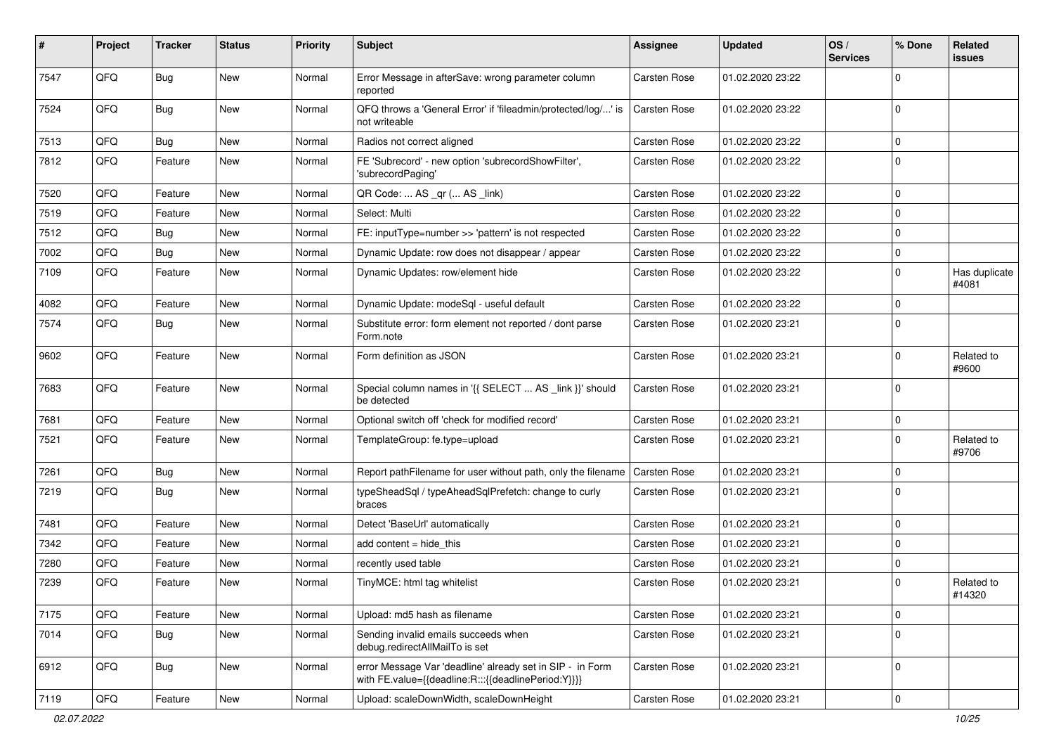| #    | Project | <b>Tracker</b> | <b>Status</b> | <b>Priority</b> | <b>Subject</b>                                                                                                   | <b>Assignee</b>     | <b>Updated</b>   | OS/<br><b>Services</b> | % Done      | Related<br>issues      |
|------|---------|----------------|---------------|-----------------|------------------------------------------------------------------------------------------------------------------|---------------------|------------------|------------------------|-------------|------------------------|
| 7547 | QFQ     | <b>Bug</b>     | <b>New</b>    | Normal          | Error Message in afterSave: wrong parameter column<br>reported                                                   | <b>Carsten Rose</b> | 01.02.2020 23:22 |                        | $\mathbf 0$ |                        |
| 7524 | QFQ     | Bug            | New           | Normal          | QFQ throws a 'General Error' if 'fileadmin/protected/log/' is<br>not writeable                                   | Carsten Rose        | 01.02.2020 23:22 |                        | $\mathbf 0$ |                        |
| 7513 | QFQ     | Bug            | New           | Normal          | Radios not correct aligned                                                                                       | Carsten Rose        | 01.02.2020 23:22 |                        | $\mathbf 0$ |                        |
| 7812 | QFQ     | Feature        | New           | Normal          | FE 'Subrecord' - new option 'subrecordShowFilter',<br>'subrecordPaging'                                          | Carsten Rose        | 01.02.2020 23:22 |                        | $\mathbf 0$ |                        |
| 7520 | QFQ     | Feature        | <b>New</b>    | Normal          | QR Code:  AS _qr ( AS _link)                                                                                     | Carsten Rose        | 01.02.2020 23:22 |                        | $\mathbf 0$ |                        |
| 7519 | QFQ     | Feature        | <b>New</b>    | Normal          | Select: Multi                                                                                                    | <b>Carsten Rose</b> | 01.02.2020 23:22 |                        | $\mathbf 0$ |                        |
| 7512 | QFQ     | <b>Bug</b>     | New           | Normal          | FE: inputType=number >> 'pattern' is not respected                                                               | <b>Carsten Rose</b> | 01.02.2020 23:22 |                        | $\mathbf 0$ |                        |
| 7002 | QFQ     | <b>Bug</b>     | <b>New</b>    | Normal          | Dynamic Update: row does not disappear / appear                                                                  | Carsten Rose        | 01.02.2020 23:22 |                        | $\mathbf 0$ |                        |
| 7109 | QFQ     | Feature        | <b>New</b>    | Normal          | Dynamic Updates: row/element hide                                                                                | Carsten Rose        | 01.02.2020 23:22 |                        | $\mathbf 0$ | Has duplicate<br>#4081 |
| 4082 | QFQ     | Feature        | New           | Normal          | Dynamic Update: modeSql - useful default                                                                         | Carsten Rose        | 01.02.2020 23:22 |                        | $\mathbf 0$ |                        |
| 7574 | QFQ     | Bug            | New           | Normal          | Substitute error: form element not reported / dont parse<br>Form.note                                            | Carsten Rose        | 01.02.2020 23:21 |                        | $\mathbf 0$ |                        |
| 9602 | QFQ     | Feature        | <b>New</b>    | Normal          | Form definition as JSON                                                                                          | Carsten Rose        | 01.02.2020 23:21 |                        | $\mathbf 0$ | Related to<br>#9600    |
| 7683 | QFQ     | Feature        | <b>New</b>    | Normal          | Special column names in '{{ SELECT  AS _link }}' should<br>be detected                                           | Carsten Rose        | 01.02.2020 23:21 |                        | $\mathbf 0$ |                        |
| 7681 | QFQ     | Feature        | <b>New</b>    | Normal          | Optional switch off 'check for modified record'                                                                  | Carsten Rose        | 01.02.2020 23:21 |                        | $\mathbf 0$ |                        |
| 7521 | QFQ     | Feature        | New           | Normal          | TemplateGroup: fe.type=upload                                                                                    | Carsten Rose        | 01.02.2020 23:21 |                        | $\mathbf 0$ | Related to<br>#9706    |
| 7261 | QFQ     | <b>Bug</b>     | New           | Normal          | Report pathFilename for user without path, only the filename                                                     | Carsten Rose        | 01.02.2020 23:21 |                        | 0           |                        |
| 7219 | QFQ     | Bug            | New           | Normal          | typeSheadSql / typeAheadSqlPrefetch: change to curly<br>braces                                                   | <b>Carsten Rose</b> | 01.02.2020 23:21 |                        | $\mathbf 0$ |                        |
| 7481 | QFQ     | Feature        | <b>New</b>    | Normal          | Detect 'BaseUrl' automatically                                                                                   | Carsten Rose        | 01.02.2020 23:21 |                        | $\mathbf 0$ |                        |
| 7342 | QFQ     | Feature        | <b>New</b>    | Normal          | add content $=$ hide this                                                                                        | Carsten Rose        | 01.02.2020 23:21 |                        | $\mathbf 0$ |                        |
| 7280 | QFQ     | Feature        | New           | Normal          | recently used table                                                                                              | <b>Carsten Rose</b> | 01.02.2020 23:21 |                        | $\mathbf 0$ |                        |
| 7239 | QFQ     | Feature        | New           | Normal          | TinyMCE: html tag whitelist                                                                                      | Carsten Rose        | 01.02.2020 23:21 |                        | $\mathbf 0$ | Related to<br>#14320   |
| 7175 | QFQ     | Feature        | New           | Normal          | Upload: md5 hash as filename                                                                                     | Carsten Rose        | 01.02.2020 23:21 |                        | 0           |                        |
| 7014 | QFQ     | <b>Bug</b>     | New           | Normal          | Sending invalid emails succeeds when<br>debug.redirectAllMailTo is set                                           | Carsten Rose        | 01.02.2020 23:21 |                        | $\mathbf 0$ |                        |
| 6912 | QFQ     | Bug            | New           | Normal          | error Message Var 'deadline' already set in SIP - in Form<br>with FE.value={{deadline:R:::{{deadlinePeriod:Y}}}} | Carsten Rose        | 01.02.2020 23:21 |                        | $\mathbf 0$ |                        |
| 7119 | QFQ     | Feature        | New           | Normal          | Upload: scaleDownWidth, scaleDownHeight                                                                          | Carsten Rose        | 01.02.2020 23:21 |                        | $\pmb{0}$   |                        |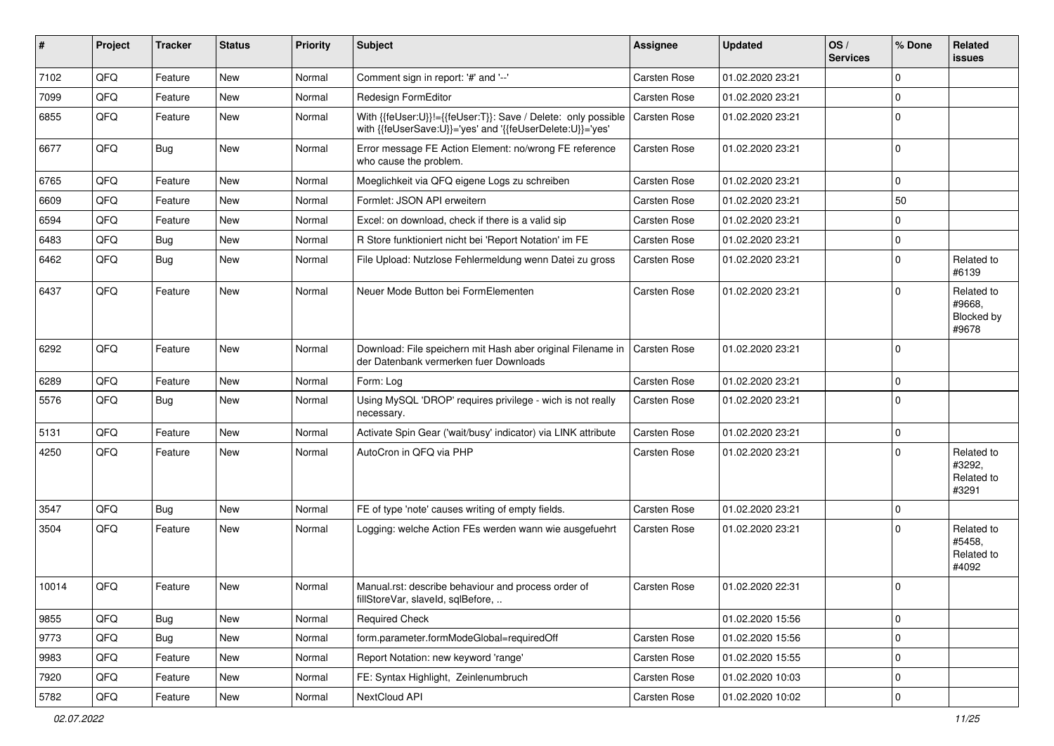| #     | Project | <b>Tracker</b> | <b>Status</b> | <b>Priority</b> | <b>Subject</b>                                                                                                             | <b>Assignee</b>     | <b>Updated</b>   | OS/<br><b>Services</b> | % Done       | <b>Related</b><br><b>issues</b>             |
|-------|---------|----------------|---------------|-----------------|----------------------------------------------------------------------------------------------------------------------------|---------------------|------------------|------------------------|--------------|---------------------------------------------|
| 7102  | QFQ     | Feature        | New           | Normal          | Comment sign in report: '#' and '--'                                                                                       | <b>Carsten Rose</b> | 01.02.2020 23:21 |                        | 0            |                                             |
| 7099  | QFQ     | Feature        | <b>New</b>    | Normal          | Redesign FormEditor                                                                                                        | Carsten Rose        | 01.02.2020 23:21 |                        | 0            |                                             |
| 6855  | QFQ     | Feature        | New           | Normal          | With {{feUser:U}}!={{feUser:T}}: Save / Delete: only possible<br>with {{feUserSave:U}}='yes' and '{{feUserDelete:U}}='yes' | Carsten Rose        | 01.02.2020 23:21 |                        | $\mathbf{0}$ |                                             |
| 6677  | QFQ     | <b>Bug</b>     | New           | Normal          | Error message FE Action Element: no/wrong FE reference<br>who cause the problem.                                           | <b>Carsten Rose</b> | 01.02.2020 23:21 |                        | 0            |                                             |
| 6765  | QFQ     | Feature        | <b>New</b>    | Normal          | Moeglichkeit via QFQ eigene Logs zu schreiben                                                                              | <b>Carsten Rose</b> | 01.02.2020 23:21 |                        | 0            |                                             |
| 6609  | QFQ     | Feature        | <b>New</b>    | Normal          | Formlet: JSON API erweitern                                                                                                | Carsten Rose        | 01.02.2020 23:21 |                        | 50           |                                             |
| 6594  | QFQ     | Feature        | <b>New</b>    | Normal          | Excel: on download, check if there is a valid sip                                                                          | <b>Carsten Rose</b> | 01.02.2020 23:21 |                        | 0            |                                             |
| 6483  | QFQ     | Bug            | New           | Normal          | R Store funktioniert nicht bei 'Report Notation' im FE                                                                     | Carsten Rose        | 01.02.2020 23:21 |                        | 0            |                                             |
| 6462  | QFQ     | Bug            | <b>New</b>    | Normal          | File Upload: Nutzlose Fehlermeldung wenn Datei zu gross                                                                    | Carsten Rose        | 01.02.2020 23:21 |                        | 0            | Related to<br>#6139                         |
| 6437  | QFQ     | Feature        | New           | Normal          | Neuer Mode Button bei FormElementen                                                                                        | <b>Carsten Rose</b> | 01.02.2020 23:21 |                        | 0            | Related to<br>#9668,<br>Blocked by<br>#9678 |
| 6292  | QFQ     | Feature        | <b>New</b>    | Normal          | Download: File speichern mit Hash aber original Filename in<br>der Datenbank vermerken fuer Downloads                      | <b>Carsten Rose</b> | 01.02.2020 23:21 |                        | 0            |                                             |
| 6289  | QFQ     | Feature        | New           | Normal          | Form: Log                                                                                                                  | Carsten Rose        | 01.02.2020 23:21 |                        | 0            |                                             |
| 5576  | QFQ     | Bug            | <b>New</b>    | Normal          | Using MySQL 'DROP' requires privilege - wich is not really<br>necessary.                                                   | Carsten Rose        | 01.02.2020 23:21 |                        | 0            |                                             |
| 5131  | QFQ     | Feature        | <b>New</b>    | Normal          | Activate Spin Gear ('wait/busy' indicator) via LINK attribute                                                              | Carsten Rose        | 01.02.2020 23:21 |                        | 0            |                                             |
| 4250  | QFQ     | Feature        | New           | Normal          | AutoCron in QFQ via PHP                                                                                                    | Carsten Rose        | 01.02.2020 23:21 |                        | 0            | Related to<br>#3292.<br>Related to<br>#3291 |
| 3547  | QFQ     | Bug            | <b>New</b>    | Normal          | FE of type 'note' causes writing of empty fields.                                                                          | <b>Carsten Rose</b> | 01.02.2020 23:21 |                        | 0            |                                             |
| 3504  | QFQ     | Feature        | <b>New</b>    | Normal          | Logging: welche Action FEs werden wann wie ausgefuehrt                                                                     | Carsten Rose        | 01.02.2020 23:21 |                        | 0            | Related to<br>#5458.<br>Related to<br>#4092 |
| 10014 | QFQ     | Feature        | New           | Normal          | Manual.rst: describe behaviour and process order of<br>fillStoreVar, slaveId, sqlBefore,                                   | <b>Carsten Rose</b> | 01.02.2020 22:31 |                        | 0            |                                             |
| 9855  | QFQ     | <b>Bug</b>     | New           | Normal          | Required Check                                                                                                             |                     | 01.02.2020 15:56 |                        | $\mathbf 0$  |                                             |
| 9773  | QFQ     | <b>Bug</b>     | New           | Normal          | form.parameter.formModeGlobal=requiredOff                                                                                  | Carsten Rose        | 01.02.2020 15:56 |                        | 0            |                                             |
| 9983  | QFQ     | Feature        | New           | Normal          | Report Notation: new keyword 'range'                                                                                       | Carsten Rose        | 01.02.2020 15:55 |                        | 0            |                                             |
| 7920  | QFQ     | Feature        | New           | Normal          | FE: Syntax Highlight, Zeinlenumbruch                                                                                       | Carsten Rose        | 01.02.2020 10:03 |                        | 0            |                                             |
| 5782  | QFG     | Feature        | New           | Normal          | NextCloud API                                                                                                              | Carsten Rose        | 01.02.2020 10:02 |                        | 0            |                                             |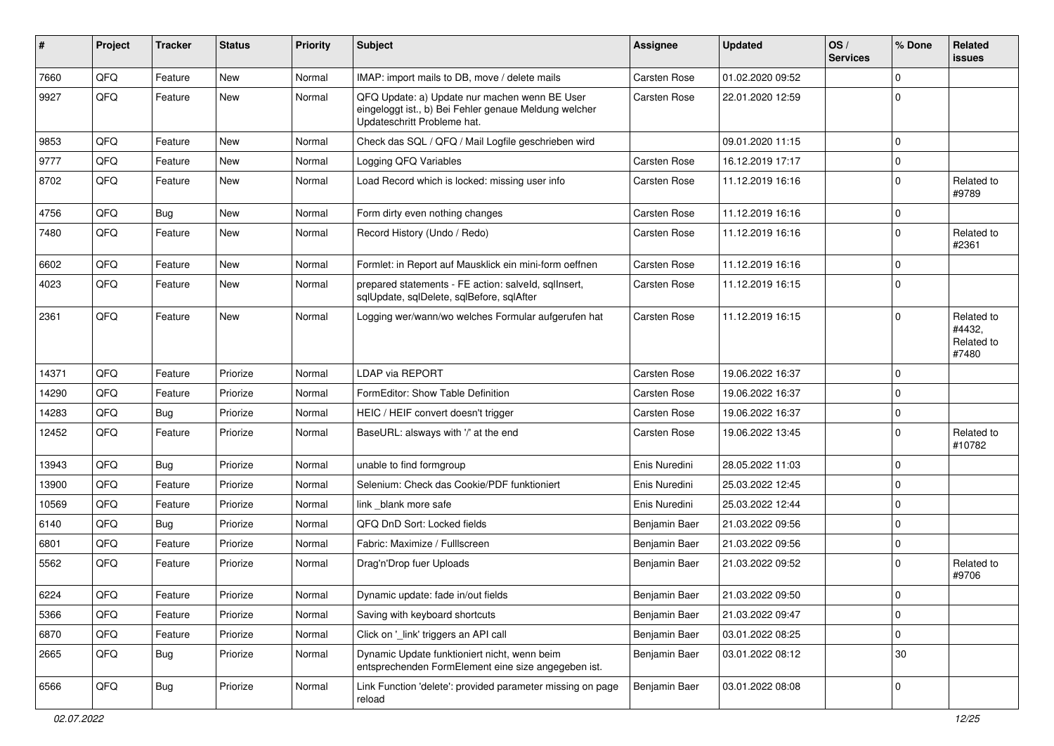| ∦     | Project | <b>Tracker</b> | <b>Status</b> | <b>Priority</b> | <b>Subject</b>                                                                                                                        | <b>Assignee</b>     | <b>Updated</b>   | OS/<br><b>Services</b> | % Done       | <b>Related</b><br><b>issues</b>             |
|-------|---------|----------------|---------------|-----------------|---------------------------------------------------------------------------------------------------------------------------------------|---------------------|------------------|------------------------|--------------|---------------------------------------------|
| 7660  | QFQ     | Feature        | New           | Normal          | IMAP: import mails to DB, move / delete mails                                                                                         | Carsten Rose        | 01.02.2020 09:52 |                        | 0            |                                             |
| 9927  | QFQ     | Feature        | <b>New</b>    | Normal          | QFQ Update: a) Update nur machen wenn BE User<br>eingeloggt ist., b) Bei Fehler genaue Meldung welcher<br>Updateschritt Probleme hat. | Carsten Rose        | 22.01.2020 12:59 |                        | 0            |                                             |
| 9853  | QFQ     | Feature        | <b>New</b>    | Normal          | Check das SQL / QFQ / Mail Logfile geschrieben wird                                                                                   |                     | 09.01.2020 11:15 |                        | 0            |                                             |
| 9777  | QFQ     | Feature        | <b>New</b>    | Normal          | Logging QFQ Variables                                                                                                                 | Carsten Rose        | 16.12.2019 17:17 |                        | 0            |                                             |
| 8702  | QFQ     | Feature        | New           | Normal          | Load Record which is locked: missing user info                                                                                        | Carsten Rose        | 11.12.2019 16:16 |                        | 0            | Related to<br>#9789                         |
| 4756  | QFQ     | Bug            | <b>New</b>    | Normal          | Form dirty even nothing changes                                                                                                       | <b>Carsten Rose</b> | 11.12.2019 16:16 |                        | 0            |                                             |
| 7480  | QFQ     | Feature        | <b>New</b>    | Normal          | Record History (Undo / Redo)                                                                                                          | Carsten Rose        | 11.12.2019 16:16 |                        | $\mathbf{0}$ | Related to<br>#2361                         |
| 6602  | QFQ     | Feature        | New           | Normal          | Formlet: in Report auf Mausklick ein mini-form oeffnen                                                                                | Carsten Rose        | 11.12.2019 16:16 |                        | 0            |                                             |
| 4023  | QFQ     | Feature        | <b>New</b>    | Normal          | prepared statements - FE action: salveld, sqllnsert,<br>sqlUpdate, sqlDelete, sqlBefore, sqlAfter                                     | Carsten Rose        | 11.12.2019 16:15 |                        | 0            |                                             |
| 2361  | QFQ     | Feature        | <b>New</b>    | Normal          | Logging wer/wann/wo welches Formular aufgerufen hat                                                                                   | Carsten Rose        | 11.12.2019 16:15 |                        | 0            | Related to<br>#4432.<br>Related to<br>#7480 |
| 14371 | QFQ     | Feature        | Priorize      | Normal          | LDAP via REPORT                                                                                                                       | Carsten Rose        | 19.06.2022 16:37 |                        | 0            |                                             |
| 14290 | QFQ     | Feature        | Priorize      | Normal          | FormEditor: Show Table Definition                                                                                                     | <b>Carsten Rose</b> | 19.06.2022 16:37 |                        | 0            |                                             |
| 14283 | QFQ     | Bug            | Priorize      | Normal          | HEIC / HEIF convert doesn't trigger                                                                                                   | <b>Carsten Rose</b> | 19.06.2022 16:37 |                        | 0            |                                             |
| 12452 | QFQ     | Feature        | Priorize      | Normal          | BaseURL: alsways with '/' at the end                                                                                                  | Carsten Rose        | 19.06.2022 13:45 |                        | 0            | Related to<br>#10782                        |
| 13943 | QFQ     | Bug            | Priorize      | Normal          | unable to find formgroup                                                                                                              | Enis Nuredini       | 28.05.2022 11:03 |                        | 0            |                                             |
| 13900 | QFQ     | Feature        | Priorize      | Normal          | Selenium: Check das Cookie/PDF funktioniert                                                                                           | Enis Nuredini       | 25.03.2022 12:45 |                        | 0            |                                             |
| 10569 | QFQ     | Feature        | Priorize      | Normal          | link blank more safe                                                                                                                  | Enis Nuredini       | 25.03.2022 12:44 |                        | 0            |                                             |
| 6140  | QFQ     | Bug            | Priorize      | Normal          | QFQ DnD Sort: Locked fields                                                                                                           | Benjamin Baer       | 21.03.2022 09:56 |                        | 0            |                                             |
| 6801  | QFQ     | Feature        | Priorize      | Normal          | Fabric: Maximize / FullIscreen                                                                                                        | Benjamin Baer       | 21.03.2022 09:56 |                        | 0            |                                             |
| 5562  | QFQ     | Feature        | Priorize      | Normal          | Drag'n'Drop fuer Uploads                                                                                                              | Benjamin Baer       | 21.03.2022 09:52 |                        | 0            | Related to<br>#9706                         |
| 6224  | QFG     | Feature        | Priorize      | Normal          | Dynamic update: fade in/out fields                                                                                                    | Benjamin Baer       | 21.03.2022 09:50 |                        | $\Omega$     |                                             |
| 5366  | QFQ     | Feature        | Priorize      | Normal          | Saving with keyboard shortcuts                                                                                                        | Benjamin Baer       | 21.03.2022 09:47 |                        | 0            |                                             |
| 6870  | QFQ     | Feature        | Priorize      | Normal          | Click on '_link' triggers an API call                                                                                                 | Benjamin Baer       | 03.01.2022 08:25 |                        | 0            |                                             |
| 2665  | QFQ     | <b>Bug</b>     | Priorize      | Normal          | Dynamic Update funktioniert nicht, wenn beim<br>entsprechenden FormElement eine size angegeben ist.                                   | Benjamin Baer       | 03.01.2022 08:12 |                        | 30           |                                             |
| 6566  | QFO     | <b>Bug</b>     | Priorize      | Normal          | Link Function 'delete': provided parameter missing on page<br>reload                                                                  | Benjamin Baer       | 03.01.2022 08:08 |                        | 0            |                                             |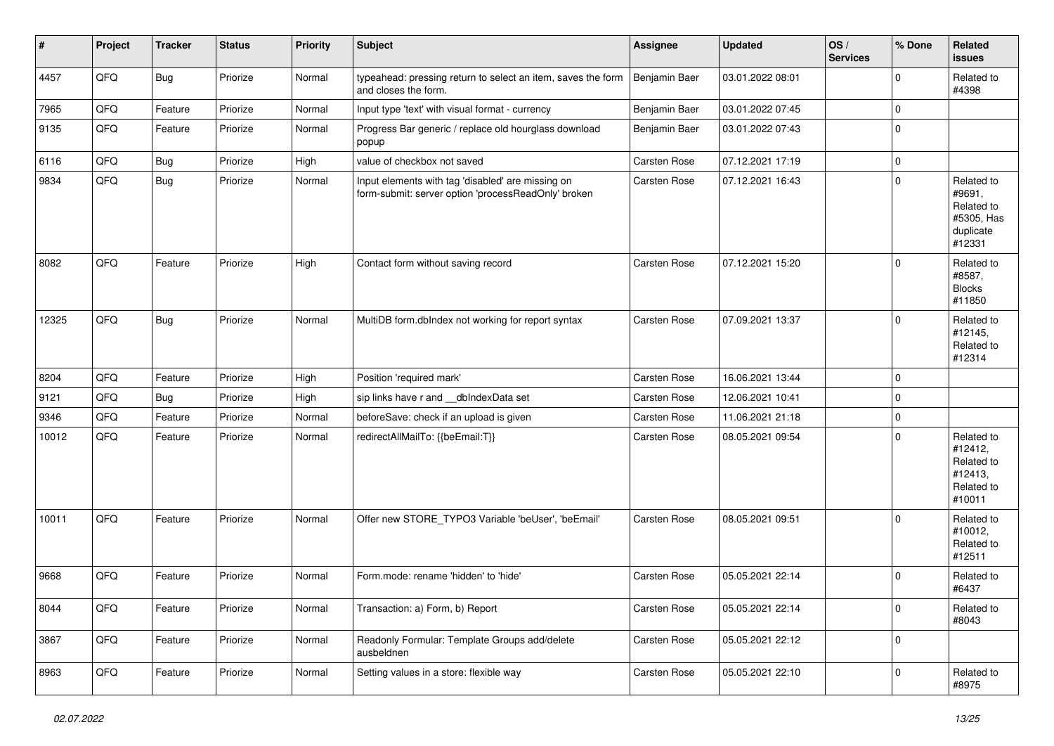| $\vert$ # | Project | <b>Tracker</b> | <b>Status</b> | <b>Priority</b> | <b>Subject</b>                                                                                           | <b>Assignee</b>     | <b>Updated</b>   | OS/<br><b>Services</b> | % Done       | Related<br><b>issues</b>                                                |
|-----------|---------|----------------|---------------|-----------------|----------------------------------------------------------------------------------------------------------|---------------------|------------------|------------------------|--------------|-------------------------------------------------------------------------|
| 4457      | QFQ     | <b>Bug</b>     | Priorize      | Normal          | typeahead: pressing return to select an item, saves the form<br>and closes the form.                     | Benjamin Baer       | 03.01.2022 08:01 |                        | $\Omega$     | Related to<br>#4398                                                     |
| 7965      | QFQ     | Feature        | Priorize      | Normal          | Input type 'text' with visual format - currency                                                          | Benjamin Baer       | 03.01.2022 07:45 |                        | $\mathbf 0$  |                                                                         |
| 9135      | QFQ     | Feature        | Priorize      | Normal          | Progress Bar generic / replace old hourglass download<br>popup                                           | Benjamin Baer       | 03.01.2022 07:43 |                        | 0            |                                                                         |
| 6116      | QFQ     | Bug            | Priorize      | High            | value of checkbox not saved                                                                              | <b>Carsten Rose</b> | 07.12.2021 17:19 |                        | $\mathbf 0$  |                                                                         |
| 9834      | QFQ     | <b>Bug</b>     | Priorize      | Normal          | Input elements with tag 'disabled' are missing on<br>form-submit: server option 'processReadOnly' broken | Carsten Rose        | 07.12.2021 16:43 |                        | $\mathbf 0$  | Related to<br>#9691,<br>Related to<br>#5305, Has<br>duplicate<br>#12331 |
| 8082      | QFQ     | Feature        | Priorize      | High            | Contact form without saving record                                                                       | Carsten Rose        | 07.12.2021 15:20 |                        | $\Omega$     | Related to<br>#8587,<br><b>Blocks</b><br>#11850                         |
| 12325     | QFQ     | Bug            | Priorize      | Normal          | MultiDB form.dblndex not working for report syntax                                                       | <b>Carsten Rose</b> | 07.09.2021 13:37 |                        | 0            | Related to<br>#12145,<br>Related to<br>#12314                           |
| 8204      | QFQ     | Feature        | Priorize      | High            | Position 'required mark'                                                                                 | <b>Carsten Rose</b> | 16.06.2021 13:44 |                        | $\Omega$     |                                                                         |
| 9121      | QFQ     | <b>Bug</b>     | Priorize      | High            | sip links have r and __dbIndexData set                                                                   | <b>Carsten Rose</b> | 12.06.2021 10:41 |                        | 0            |                                                                         |
| 9346      | QFQ     | Feature        | Priorize      | Normal          | beforeSave: check if an upload is given                                                                  | <b>Carsten Rose</b> | 11.06.2021 21:18 |                        | $\mathbf 0$  |                                                                         |
| 10012     | QFQ     | Feature        | Priorize      | Normal          | redirectAllMailTo: {{beEmail:T}}                                                                         | Carsten Rose        | 08.05.2021 09:54 |                        | $\mathbf 0$  | Related to<br>#12412,<br>Related to<br>#12413,<br>Related to<br>#10011  |
| 10011     | QFQ     | Feature        | Priorize      | Normal          | Offer new STORE_TYPO3 Variable 'beUser', 'beEmail'                                                       | Carsten Rose        | 08.05.2021 09:51 |                        | $\Omega$     | Related to<br>#10012,<br>Related to<br>#12511                           |
| 9668      | QFQ     | Feature        | Priorize      | Normal          | Form.mode: rename 'hidden' to 'hide'                                                                     | <b>Carsten Rose</b> | 05.05.2021 22:14 |                        | $\Omega$     | Related to<br>#6437                                                     |
| 8044      | QFQ     | Feature        | Priorize      | Normal          | Transaction: a) Form, b) Report                                                                          | Carsten Rose        | 05.05.2021 22:14 |                        | $\mathbf 0$  | Related to<br>#8043                                                     |
| 3867      | QFQ     | Feature        | Priorize      | Normal          | Readonly Formular: Template Groups add/delete<br>ausbeldnen                                              | Carsten Rose        | 05.05.2021 22:12 |                        | $\mathbf 0$  |                                                                         |
| 8963      | QFQ     | Feature        | Priorize      | Normal          | Setting values in a store: flexible way                                                                  | <b>Carsten Rose</b> | 05.05.2021 22:10 |                        | $\mathbf{0}$ | Related to<br>#8975                                                     |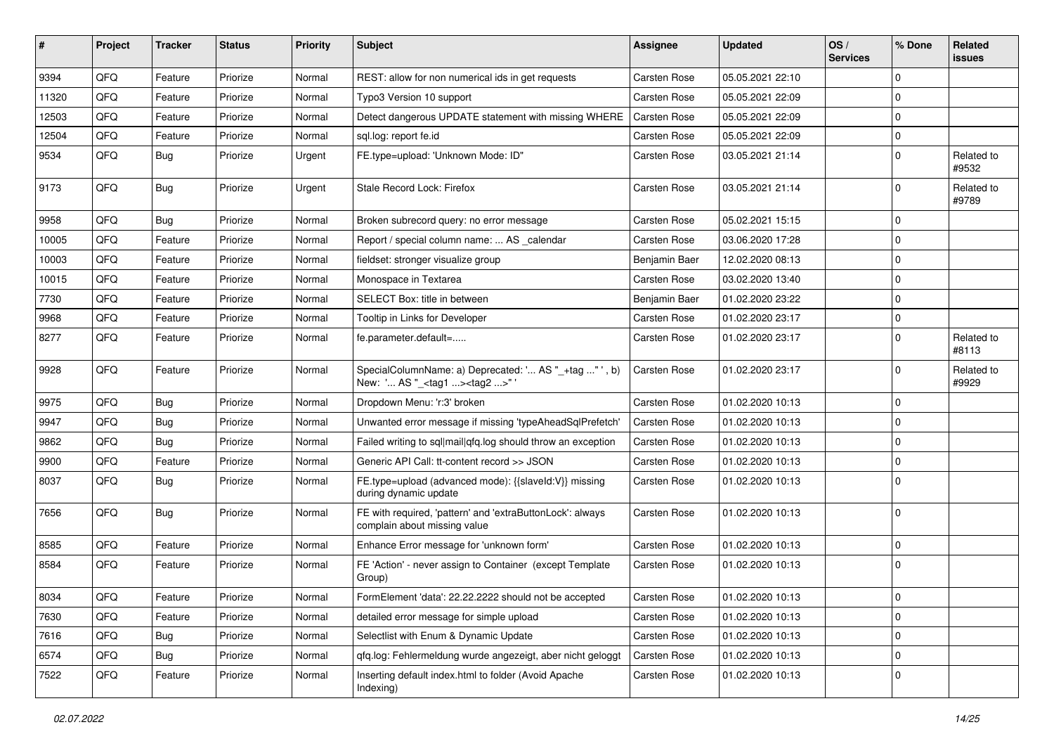| #     | Project | <b>Tracker</b> | <b>Status</b> | <b>Priority</b> | <b>Subject</b>                                                                                      | Assignee            | <b>Updated</b>   | OS/<br><b>Services</b> | % Done      | Related<br>issues   |
|-------|---------|----------------|---------------|-----------------|-----------------------------------------------------------------------------------------------------|---------------------|------------------|------------------------|-------------|---------------------|
| 9394  | QFQ     | Feature        | Priorize      | Normal          | REST: allow for non numerical ids in get requests                                                   | Carsten Rose        | 05.05.2021 22:10 |                        | $\Omega$    |                     |
| 11320 | QFQ     | Feature        | Priorize      | Normal          | Typo3 Version 10 support                                                                            | Carsten Rose        | 05.05.2021 22:09 |                        | $\mathbf 0$ |                     |
| 12503 | QFQ     | Feature        | Priorize      | Normal          | Detect dangerous UPDATE statement with missing WHERE                                                | Carsten Rose        | 05.05.2021 22:09 |                        | $\Omega$    |                     |
| 12504 | QFQ     | Feature        | Priorize      | Normal          | sql.log: report fe.id                                                                               | <b>Carsten Rose</b> | 05.05.2021 22:09 |                        | $\mathbf 0$ |                     |
| 9534  | QFQ     | <b>Bug</b>     | Priorize      | Urgent          | FE.type=upload: 'Unknown Mode: ID"                                                                  | Carsten Rose        | 03.05.2021 21:14 |                        | $\mathbf 0$ | Related to<br>#9532 |
| 9173  | QFQ     | Bug            | Priorize      | Urgent          | Stale Record Lock: Firefox                                                                          | Carsten Rose        | 03.05.2021 21:14 |                        | $\mathbf 0$ | Related to<br>#9789 |
| 9958  | QFQ     | Bug            | Priorize      | Normal          | Broken subrecord query: no error message                                                            | <b>Carsten Rose</b> | 05.02.2021 15:15 |                        | $\mathbf 0$ |                     |
| 10005 | QFQ     | Feature        | Priorize      | Normal          | Report / special column name:  AS _calendar                                                         | <b>Carsten Rose</b> | 03.06.2020 17:28 |                        | $\mathbf 0$ |                     |
| 10003 | QFQ     | Feature        | Priorize      | Normal          | fieldset: stronger visualize group                                                                  | Benjamin Baer       | 12.02.2020 08:13 |                        | $\mathbf 0$ |                     |
| 10015 | QFQ     | Feature        | Priorize      | Normal          | Monospace in Textarea                                                                               | Carsten Rose        | 03.02.2020 13:40 |                        | $\mathbf 0$ |                     |
| 7730  | QFQ     | Feature        | Priorize      | Normal          | SELECT Box: title in between                                                                        | Benjamin Baer       | 01.02.2020 23:22 |                        | $\mathbf 0$ |                     |
| 9968  | QFQ     | Feature        | Priorize      | Normal          | Tooltip in Links for Developer                                                                      | Carsten Rose        | 01.02.2020 23:17 |                        | $\mathbf 0$ |                     |
| 8277  | QFQ     | Feature        | Priorize      | Normal          | fe.parameter.default=                                                                               | Carsten Rose        | 01.02.2020 23:17 |                        | $\mathbf 0$ | Related to<br>#8113 |
| 9928  | QFQ     | Feature        | Priorize      | Normal          | SpecialColumnName: a) Deprecated: ' AS "_+tag " ', b)<br>New: ' AS "_ <tag1><tag2>" '</tag2></tag1> | Carsten Rose        | 01.02.2020 23:17 |                        | $\mathbf 0$ | Related to<br>#9929 |
| 9975  | QFQ     | <b>Bug</b>     | Priorize      | Normal          | Dropdown Menu: 'r:3' broken                                                                         | Carsten Rose        | 01.02.2020 10:13 |                        | $\mathbf 0$ |                     |
| 9947  | QFQ     | Bug            | Priorize      | Normal          | Unwanted error message if missing 'typeAheadSqlPrefetch'                                            | <b>Carsten Rose</b> | 01.02.2020 10:13 |                        | $\Omega$    |                     |
| 9862  | QFQ     | <b>Bug</b>     | Priorize      | Normal          | Failed writing to sql mail qfq.log should throw an exception                                        | <b>Carsten Rose</b> | 01.02.2020 10:13 |                        | $\mathbf 0$ |                     |
| 9900  | QFQ     | Feature        | Priorize      | Normal          | Generic API Call: tt-content record >> JSON                                                         | Carsten Rose        | 01.02.2020 10:13 |                        | $\Omega$    |                     |
| 8037  | QFQ     | <b>Bug</b>     | Priorize      | Normal          | FE.type=upload (advanced mode): {{slaveld:V}} missing<br>during dynamic update                      | Carsten Rose        | 01.02.2020 10:13 |                        | $\mathbf 0$ |                     |
| 7656  | QFQ     | <b>Bug</b>     | Priorize      | Normal          | FE with required, 'pattern' and 'extraButtonLock': always<br>complain about missing value           | Carsten Rose        | 01.02.2020 10:13 |                        | $\mathbf 0$ |                     |
| 8585  | QFQ     | Feature        | Priorize      | Normal          | Enhance Error message for 'unknown form'                                                            | Carsten Rose        | 01.02.2020 10:13 |                        | $\mathbf 0$ |                     |
| 8584  | QFQ     | Feature        | Priorize      | Normal          | FE 'Action' - never assign to Container (except Template<br>Group)                                  | Carsten Rose        | 01.02.2020 10:13 |                        | $\Omega$    |                     |
| 8034  | QFQ     | Feature        | Priorize      | Normal          | FormElement 'data': 22.22.2222 should not be accepted                                               | Carsten Rose        | 01.02.2020 10:13 |                        | 0           |                     |
| 7630  | QFQ     | Feature        | Priorize      | Normal          | detailed error message for simple upload                                                            | Carsten Rose        | 01.02.2020 10:13 |                        | $\mathbf 0$ |                     |
| 7616  | QFQ     | <b>Bug</b>     | Priorize      | Normal          | Selectlist with Enum & Dynamic Update                                                               | Carsten Rose        | 01.02.2020 10:13 |                        | $\mathbf 0$ |                     |
| 6574  | QFQ     | Bug            | Priorize      | Normal          | qfq.log: Fehlermeldung wurde angezeigt, aber nicht geloggt                                          | Carsten Rose        | 01.02.2020 10:13 |                        | $\mathbf 0$ |                     |
| 7522  | QFQ     | Feature        | Priorize      | Normal          | Inserting default index.html to folder (Avoid Apache<br>Indexing)                                   | Carsten Rose        | 01.02.2020 10:13 |                        | 0           |                     |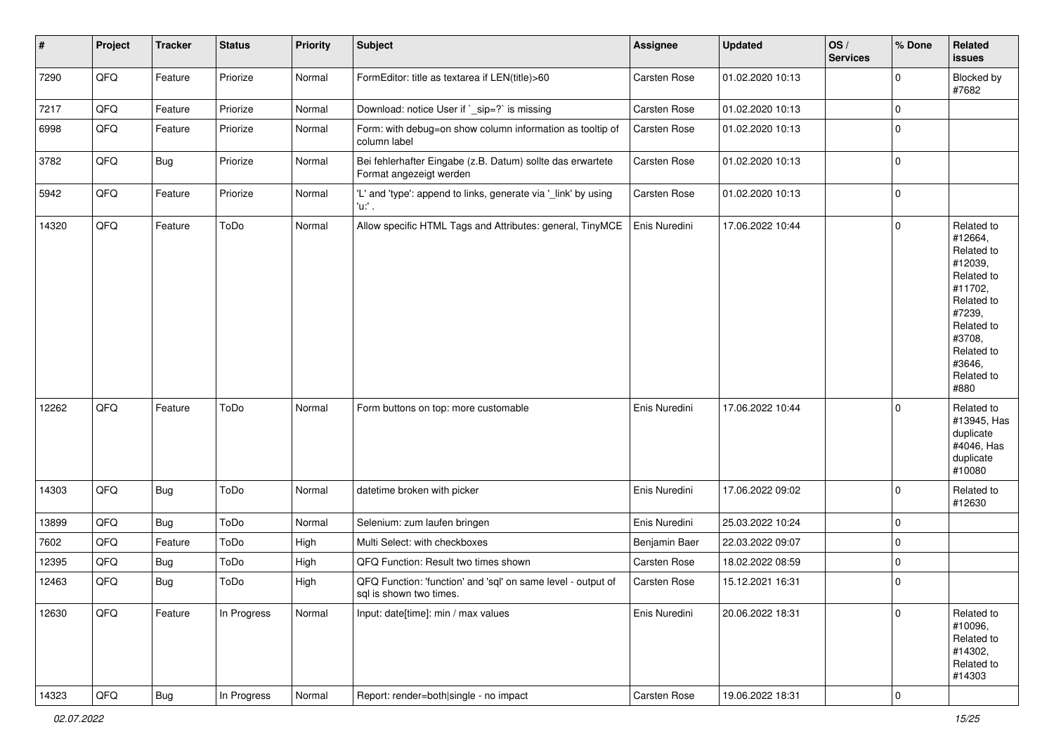| $\vert$ # | Project | <b>Tracker</b> | <b>Status</b> | <b>Priority</b> | <b>Subject</b>                                                                          | <b>Assignee</b>     | <b>Updated</b>   | OS/<br><b>Services</b> | % Done       | Related<br><b>issues</b>                                                                                                                                              |
|-----------|---------|----------------|---------------|-----------------|-----------------------------------------------------------------------------------------|---------------------|------------------|------------------------|--------------|-----------------------------------------------------------------------------------------------------------------------------------------------------------------------|
| 7290      | QFQ     | Feature        | Priorize      | Normal          | FormEditor: title as textarea if LEN(title)>60                                          | Carsten Rose        | 01.02.2020 10:13 |                        | $\mathbf{0}$ | Blocked by<br>#7682                                                                                                                                                   |
| 7217      | QFQ     | Feature        | Priorize      | Normal          | Download: notice User if `_sip=?` is missing                                            | Carsten Rose        | 01.02.2020 10:13 |                        | 0            |                                                                                                                                                                       |
| 6998      | QFQ     | Feature        | Priorize      | Normal          | Form: with debug=on show column information as tooltip of<br>column label               | Carsten Rose        | 01.02.2020 10:13 |                        | $\mathbf 0$  |                                                                                                                                                                       |
| 3782      | QFQ     | <b>Bug</b>     | Priorize      | Normal          | Bei fehlerhafter Eingabe (z.B. Datum) sollte das erwartete<br>Format angezeigt werden   | Carsten Rose        | 01.02.2020 10:13 |                        | $\mathbf 0$  |                                                                                                                                                                       |
| 5942      | QFQ     | Feature        | Priorize      | Normal          | 'L' and 'type': append to links, generate via '_link' by using<br>'u:' .                | Carsten Rose        | 01.02.2020 10:13 |                        | $\mathbf 0$  |                                                                                                                                                                       |
| 14320     | QFQ     | Feature        | ToDo          | Normal          | Allow specific HTML Tags and Attributes: general, TinyMCE                               | Enis Nuredini       | 17.06.2022 10:44 |                        | $\mathbf 0$  | Related to<br>#12664,<br>Related to<br>#12039,<br>Related to<br>#11702.<br>Related to<br>#7239,<br>Related to<br>#3708,<br>Related to<br>#3646,<br>Related to<br>#880 |
| 12262     | QFQ     | Feature        | ToDo          | Normal          | Form buttons on top: more customable                                                    | Enis Nuredini       | 17.06.2022 10:44 |                        | $\mathbf 0$  | Related to<br>#13945, Has<br>duplicate<br>#4046, Has<br>duplicate<br>#10080                                                                                           |
| 14303     | QFQ     | Bug            | ToDo          | Normal          | datetime broken with picker                                                             | Enis Nuredini       | 17.06.2022 09:02 |                        | $\mathbf{0}$ | Related to<br>#12630                                                                                                                                                  |
| 13899     | QFQ     | <b>Bug</b>     | ToDo          | Normal          | Selenium: zum laufen bringen                                                            | Enis Nuredini       | 25.03.2022 10:24 |                        | 0            |                                                                                                                                                                       |
| 7602      | QFQ     | Feature        | ToDo          | High            | Multi Select: with checkboxes                                                           | Benjamin Baer       | 22.03.2022 09:07 |                        | 0            |                                                                                                                                                                       |
| 12395     | QFQ     | <b>Bug</b>     | ToDo          | High            | QFQ Function: Result two times shown                                                    | Carsten Rose        | 18.02.2022 08:59 |                        | $\mathbf 0$  |                                                                                                                                                                       |
| 12463     | QFQ     | Bug            | ToDo          | High            | QFQ Function: 'function' and 'sql' on same level - output of<br>sql is shown two times. | <b>Carsten Rose</b> | 15.12.2021 16:31 |                        | $\mathbf 0$  |                                                                                                                                                                       |
| 12630     | QFQ     | Feature        | In Progress   | Normal          | Input: date[time]: min / max values                                                     | Enis Nuredini       | 20.06.2022 18:31 |                        | $\mathbf 0$  | Related to<br>#10096,<br>Related to<br>#14302,<br>Related to<br>#14303                                                                                                |
| 14323     | QFG     | Bug            | In Progress   | Normal          | Report: render=both single - no impact                                                  | Carsten Rose        | 19.06.2022 18:31 |                        | $\pmb{0}$    |                                                                                                                                                                       |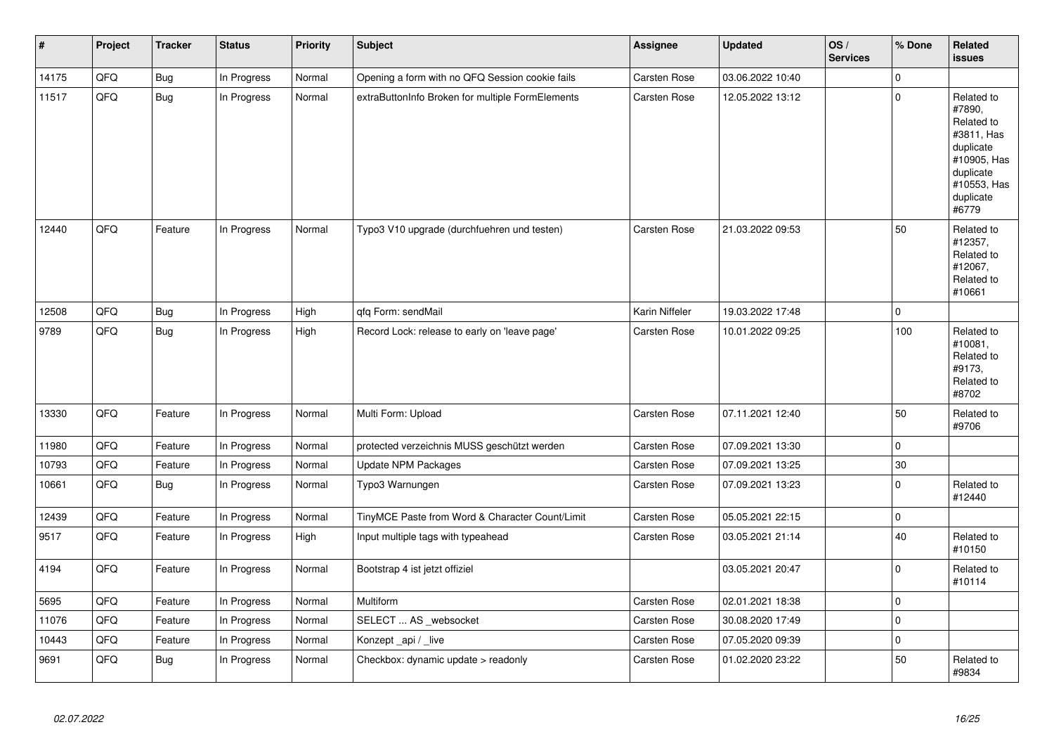| #     | Project | <b>Tracker</b> | <b>Status</b> | <b>Priority</b> | <b>Subject</b>                                   | Assignee            | <b>Updated</b>   | OS/<br><b>Services</b> | % Done       | Related<br><b>issues</b>                                                                                                       |
|-------|---------|----------------|---------------|-----------------|--------------------------------------------------|---------------------|------------------|------------------------|--------------|--------------------------------------------------------------------------------------------------------------------------------|
| 14175 | QFQ     | <b>Bug</b>     | In Progress   | Normal          | Opening a form with no QFQ Session cookie fails  | <b>Carsten Rose</b> | 03.06.2022 10:40 |                        | $\mathbf{0}$ |                                                                                                                                |
| 11517 | QFQ     | Bug            | In Progress   | Normal          | extraButtonInfo Broken for multiple FormElements | Carsten Rose        | 12.05.2022 13:12 |                        | $\pmb{0}$    | Related to<br>#7890,<br>Related to<br>#3811, Has<br>duplicate<br>#10905, Has<br>duplicate<br>#10553, Has<br>duplicate<br>#6779 |
| 12440 | QFQ     | Feature        | In Progress   | Normal          | Typo3 V10 upgrade (durchfuehren und testen)      | <b>Carsten Rose</b> | 21.03.2022 09:53 |                        | 50           | Related to<br>#12357,<br>Related to<br>#12067,<br>Related to<br>#10661                                                         |
| 12508 | QFQ     | Bug            | In Progress   | High            | qfq Form: sendMail                               | Karin Niffeler      | 19.03.2022 17:48 |                        | $\pmb{0}$    |                                                                                                                                |
| 9789  | QFQ     | <b>Bug</b>     | In Progress   | High            | Record Lock: release to early on 'leave page'    | Carsten Rose        | 10.01.2022 09:25 |                        | 100          | Related to<br>#10081,<br>Related to<br>#9173,<br>Related to<br>#8702                                                           |
| 13330 | QFQ     | Feature        | In Progress   | Normal          | Multi Form: Upload                               | Carsten Rose        | 07.11.2021 12:40 |                        | 50           | Related to<br>#9706                                                                                                            |
| 11980 | QFQ     | Feature        | In Progress   | Normal          | protected verzeichnis MUSS geschützt werden      | <b>Carsten Rose</b> | 07.09.2021 13:30 |                        | $\mathbf{0}$ |                                                                                                                                |
| 10793 | QFQ     | Feature        | In Progress   | Normal          | Update NPM Packages                              | <b>Carsten Rose</b> | 07.09.2021 13:25 |                        | 30           |                                                                                                                                |
| 10661 | QFQ     | <b>Bug</b>     | In Progress   | Normal          | Typo3 Warnungen                                  | <b>Carsten Rose</b> | 07.09.2021 13:23 |                        | $\mathbf{0}$ | Related to<br>#12440                                                                                                           |
| 12439 | QFQ     | Feature        | In Progress   | Normal          | TinyMCE Paste from Word & Character Count/Limit  | <b>Carsten Rose</b> | 05.05.2021 22:15 |                        | $\mathbf{0}$ |                                                                                                                                |
| 9517  | QFQ     | Feature        | In Progress   | High            | Input multiple tags with typeahead               | <b>Carsten Rose</b> | 03.05.2021 21:14 |                        | 40           | Related to<br>#10150                                                                                                           |
| 4194  | QFQ     | Feature        | In Progress   | Normal          | Bootstrap 4 ist jetzt offiziel                   |                     | 03.05.2021 20:47 |                        | $\mathbf{0}$ | Related to<br>#10114                                                                                                           |
| 5695  | QFQ     | Feature        | In Progress   | Normal          | Multiform                                        | Carsten Rose        | 02.01.2021 18:38 |                        | $\pmb{0}$    |                                                                                                                                |
| 11076 | QFQ     | Feature        | In Progress   | Normal          | SELECT  AS _websocket                            | <b>Carsten Rose</b> | 30.08.2020 17:49 |                        | $\mathsf 0$  |                                                                                                                                |
| 10443 | QFQ     | Feature        | In Progress   | Normal          | Konzept_api / _live                              | Carsten Rose        | 07.05.2020 09:39 |                        | 0            |                                                                                                                                |
| 9691  | QFQ     | Bug            | In Progress   | Normal          | Checkbox: dynamic update > readonly              | <b>Carsten Rose</b> | 01.02.2020 23:22 |                        | 50           | Related to<br>#9834                                                                                                            |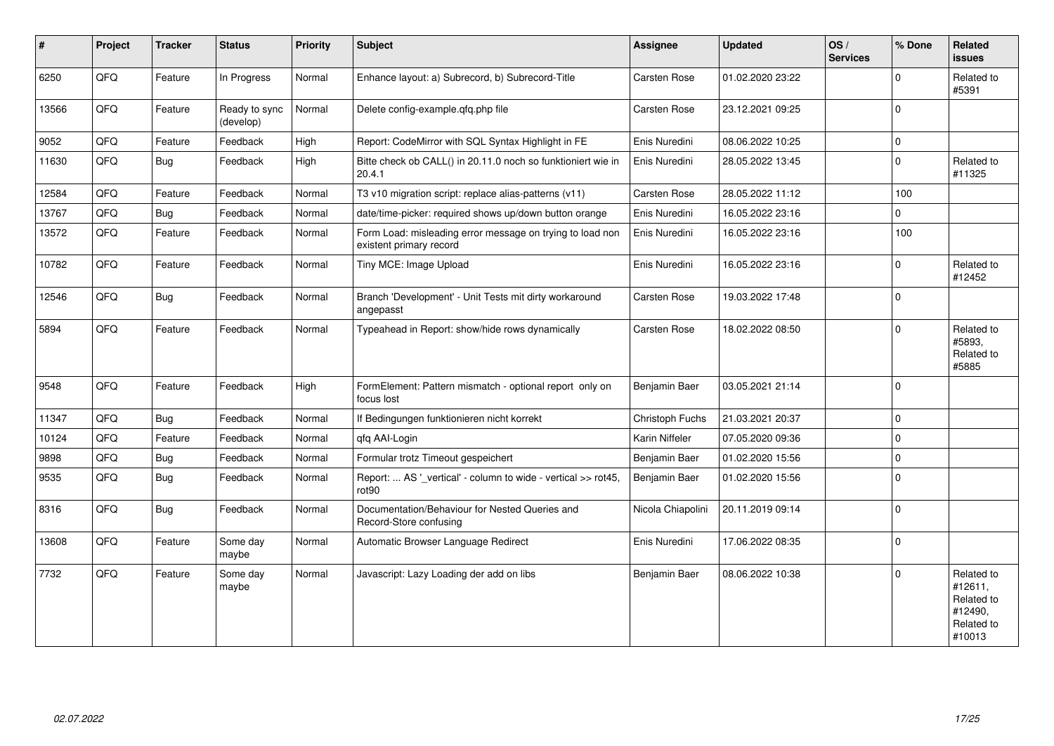| $\vert$ # | Project | <b>Tracker</b> | <b>Status</b>              | <b>Priority</b> | <b>Subject</b>                                                                       | Assignee            | <b>Updated</b>   | OS/<br><b>Services</b> | % Done       | Related<br><b>issues</b>                                               |
|-----------|---------|----------------|----------------------------|-----------------|--------------------------------------------------------------------------------------|---------------------|------------------|------------------------|--------------|------------------------------------------------------------------------|
| 6250      | QFQ     | Feature        | In Progress                | Normal          | Enhance layout: a) Subrecord, b) Subrecord-Title                                     | Carsten Rose        | 01.02.2020 23:22 |                        | $\Omega$     | Related to<br>#5391                                                    |
| 13566     | QFQ     | Feature        | Ready to sync<br>(develop) | Normal          | Delete config-example.gfg.php file                                                   | Carsten Rose        | 23.12.2021 09:25 |                        | $\Omega$     |                                                                        |
| 9052      | QFQ     | Feature        | Feedback                   | High            | Report: CodeMirror with SQL Syntax Highlight in FE                                   | Enis Nuredini       | 08.06.2022 10:25 |                        | 0            |                                                                        |
| 11630     | QFO     | <b>Bug</b>     | Feedback                   | High            | Bitte check ob CALL() in 20.11.0 noch so funktioniert wie in<br>20.4.1               | Enis Nuredini       | 28.05.2022 13:45 |                        | $\mathbf 0$  | Related to<br>#11325                                                   |
| 12584     | QFQ     | Feature        | Feedback                   | Normal          | T3 v10 migration script: replace alias-patterns (v11)                                | <b>Carsten Rose</b> | 28.05.2022 11:12 |                        | 100          |                                                                        |
| 13767     | QFQ     | Bug            | Feedback                   | Normal          | date/time-picker: required shows up/down button orange                               | Enis Nuredini       | 16.05.2022 23:16 |                        | $\Omega$     |                                                                        |
| 13572     | QFQ     | Feature        | Feedback                   | Normal          | Form Load: misleading error message on trying to load non<br>existent primary record | Enis Nuredini       | 16.05.2022 23:16 |                        | 100          |                                                                        |
| 10782     | QFQ     | Feature        | Feedback                   | Normal          | Tiny MCE: Image Upload                                                               | Enis Nuredini       | 16.05.2022 23:16 |                        | $\mathbf 0$  | Related to<br>#12452                                                   |
| 12546     | QFQ     | <b>Bug</b>     | Feedback                   | Normal          | Branch 'Development' - Unit Tests mit dirty workaround<br>angepasst                  | <b>Carsten Rose</b> | 19.03.2022 17:48 |                        | $\Omega$     |                                                                        |
| 5894      | QFQ     | Feature        | Feedback                   | Normal          | Typeahead in Report: show/hide rows dynamically                                      | Carsten Rose        | 18.02.2022 08:50 |                        | $\Omega$     | Related to<br>#5893.<br>Related to<br>#5885                            |
| 9548      | QFQ     | Feature        | Feedback                   | High            | FormElement: Pattern mismatch - optional report only on<br>focus lost                | Benjamin Baer       | 03.05.2021 21:14 |                        | $\Omega$     |                                                                        |
| 11347     | QFQ     | <b>Bug</b>     | Feedback                   | Normal          | If Bedingungen funktionieren nicht korrekt                                           | Christoph Fuchs     | 21.03.2021 20:37 |                        | 0            |                                                                        |
| 10124     | QFQ     | Feature        | Feedback                   | Normal          | qfq AAI-Login                                                                        | Karin Niffeler      | 07.05.2020 09:36 |                        | $\mathbf 0$  |                                                                        |
| 9898      | QFQ     | Bug            | Feedback                   | Normal          | Formular trotz Timeout gespeichert                                                   | Benjamin Baer       | 01.02.2020 15:56 |                        | $\mathbf 0$  |                                                                        |
| 9535      | QFQ     | <b>Bug</b>     | Feedback                   | Normal          | Report:  AS '_vertical' - column to wide - vertical >> rot45,<br>rot90               | Benjamin Baer       | 01.02.2020 15:56 |                        | $\mathbf{0}$ |                                                                        |
| 8316      | QFQ     | <b>Bug</b>     | Feedback                   | Normal          | Documentation/Behaviour for Nested Queries and<br>Record-Store confusing             | Nicola Chiapolini   | 20.11.2019 09:14 |                        | $\Omega$     |                                                                        |
| 13608     | QFQ     | Feature        | Some day<br>maybe          | Normal          | Automatic Browser Language Redirect                                                  | Enis Nuredini       | 17.06.2022 08:35 |                        | $\mathbf{0}$ |                                                                        |
| 7732      | QFQ     | Feature        | Some day<br>maybe          | Normal          | Javascript: Lazy Loading der add on libs                                             | Benjamin Baer       | 08.06.2022 10:38 |                        | $\Omega$     | Related to<br>#12611,<br>Related to<br>#12490,<br>Related to<br>#10013 |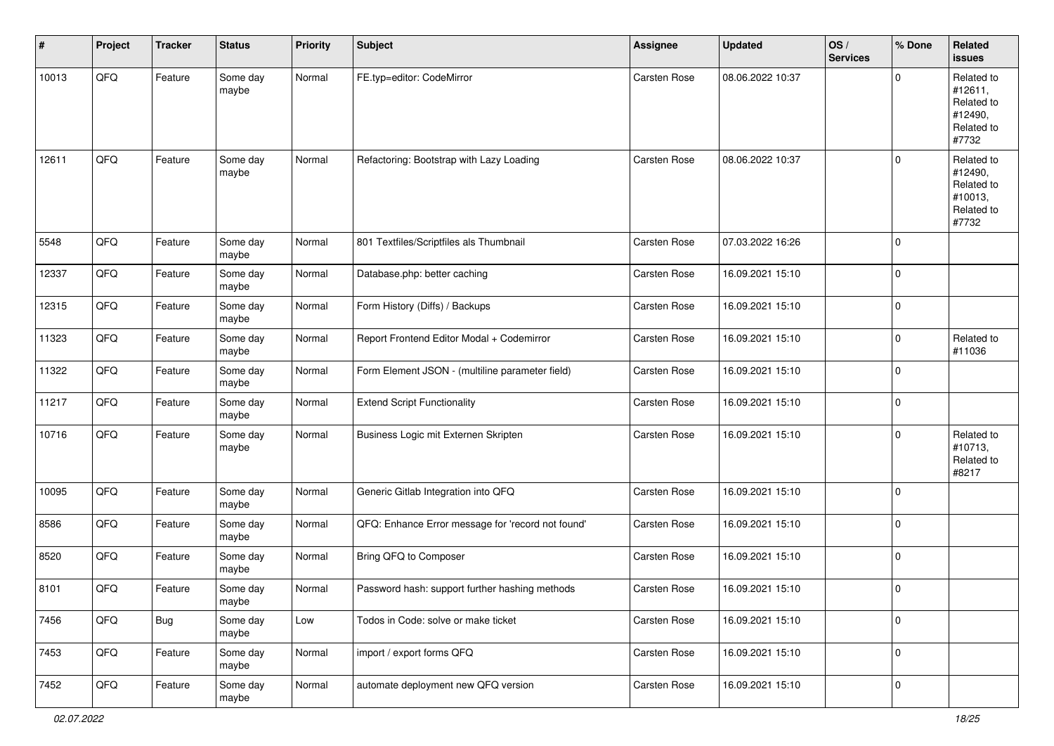| #     | Project | <b>Tracker</b> | <b>Status</b>     | <b>Priority</b> | <b>Subject</b>                                    | Assignee            | <b>Updated</b>   | OS/<br><b>Services</b> | % Done      | Related<br><b>issues</b>                                              |
|-------|---------|----------------|-------------------|-----------------|---------------------------------------------------|---------------------|------------------|------------------------|-------------|-----------------------------------------------------------------------|
| 10013 | QFQ     | Feature        | Some day<br>maybe | Normal          | FE.typ=editor: CodeMirror                         | Carsten Rose        | 08.06.2022 10:37 |                        | $\mathbf 0$ | Related to<br>#12611,<br>Related to<br>#12490,<br>Related to<br>#7732 |
| 12611 | QFQ     | Feature        | Some day<br>maybe | Normal          | Refactoring: Bootstrap with Lazy Loading          | Carsten Rose        | 08.06.2022 10:37 |                        | $\mathbf 0$ | Related to<br>#12490,<br>Related to<br>#10013,<br>Related to<br>#7732 |
| 5548  | QFQ     | Feature        | Some day<br>maybe | Normal          | 801 Textfiles/Scriptfiles als Thumbnail           | Carsten Rose        | 07.03.2022 16:26 |                        | $\mathbf 0$ |                                                                       |
| 12337 | QFQ     | Feature        | Some day<br>maybe | Normal          | Database.php: better caching                      | Carsten Rose        | 16.09.2021 15:10 |                        | $\mathbf 0$ |                                                                       |
| 12315 | QFQ     | Feature        | Some day<br>maybe | Normal          | Form History (Diffs) / Backups                    | Carsten Rose        | 16.09.2021 15:10 |                        | $\mathbf 0$ |                                                                       |
| 11323 | QFQ     | Feature        | Some day<br>maybe | Normal          | Report Frontend Editor Modal + Codemirror         | Carsten Rose        | 16.09.2021 15:10 |                        | 0           | Related to<br>#11036                                                  |
| 11322 | QFQ     | Feature        | Some day<br>maybe | Normal          | Form Element JSON - (multiline parameter field)   | Carsten Rose        | 16.09.2021 15:10 |                        | $\mathbf 0$ |                                                                       |
| 11217 | QFQ     | Feature        | Some day<br>maybe | Normal          | <b>Extend Script Functionality</b>                | Carsten Rose        | 16.09.2021 15:10 |                        | $\mathbf 0$ |                                                                       |
| 10716 | QFQ     | Feature        | Some day<br>maybe | Normal          | Business Logic mit Externen Skripten              | <b>Carsten Rose</b> | 16.09.2021 15:10 |                        | 0           | Related to<br>#10713,<br>Related to<br>#8217                          |
| 10095 | QFQ     | Feature        | Some day<br>maybe | Normal          | Generic Gitlab Integration into QFQ               | Carsten Rose        | 16.09.2021 15:10 |                        | $\mathbf 0$ |                                                                       |
| 8586  | QFQ     | Feature        | Some day<br>maybe | Normal          | QFQ: Enhance Error message for 'record not found' | <b>Carsten Rose</b> | 16.09.2021 15:10 |                        | $\mathbf 0$ |                                                                       |
| 8520  | QFQ     | Feature        | Some day<br>maybe | Normal          | Bring QFQ to Composer                             | Carsten Rose        | 16.09.2021 15:10 |                        | 0           |                                                                       |
| 8101  | QFQ     | Feature        | Some day<br>maybe | Normal          | Password hash: support further hashing methods    | <b>Carsten Rose</b> | 16.09.2021 15:10 |                        | 0           |                                                                       |
| 7456  | QFG     | <b>Bug</b>     | Some day<br>maybe | Low             | Todos in Code: solve or make ticket               | Carsten Rose        | 16.09.2021 15:10 |                        | $\mathbf 0$ |                                                                       |
| 7453  | QFO     | Feature        | Some day<br>maybe | Normal          | import / export forms QFQ                         | Carsten Rose        | 16.09.2021 15:10 |                        | $\pmb{0}$   |                                                                       |
| 7452  | QFO     | Feature        | Some day<br>maybe | Normal          | automate deployment new QFQ version               | Carsten Rose        | 16.09.2021 15:10 |                        | $\pmb{0}$   |                                                                       |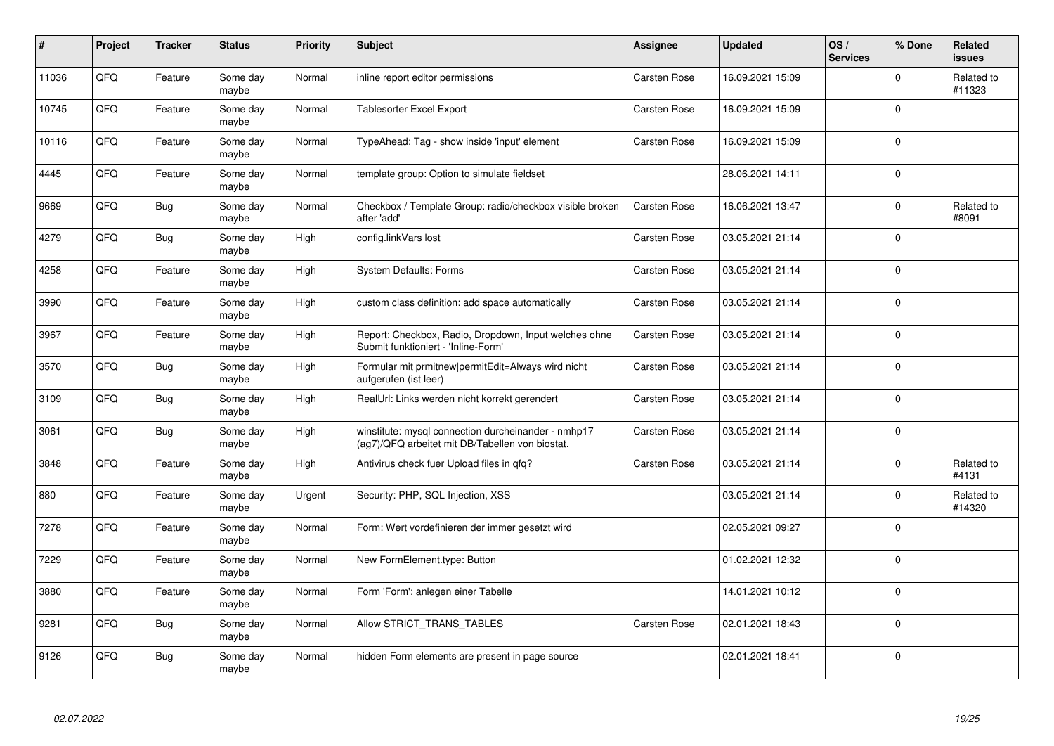| #     | Project | <b>Tracker</b> | <b>Status</b>     | <b>Priority</b> | <b>Subject</b>                                                                                         | Assignee            | <b>Updated</b>   | OS/<br><b>Services</b> | % Done      | <b>Related</b><br><b>issues</b> |
|-------|---------|----------------|-------------------|-----------------|--------------------------------------------------------------------------------------------------------|---------------------|------------------|------------------------|-------------|---------------------------------|
| 11036 | QFQ     | Feature        | Some day<br>maybe | Normal          | inline report editor permissions                                                                       | Carsten Rose        | 16.09.2021 15:09 |                        | $\Omega$    | Related to<br>#11323            |
| 10745 | QFQ     | Feature        | Some dav<br>maybe | Normal          | <b>Tablesorter Excel Export</b>                                                                        | Carsten Rose        | 16.09.2021 15:09 |                        | $\Omega$    |                                 |
| 10116 | QFQ     | Feature        | Some day<br>maybe | Normal          | TypeAhead: Tag - show inside 'input' element                                                           | Carsten Rose        | 16.09.2021 15:09 |                        | $\mathbf 0$ |                                 |
| 4445  | QFQ     | Feature        | Some day<br>maybe | Normal          | template group: Option to simulate fieldset                                                            |                     | 28.06.2021 14:11 |                        | $\Omega$    |                                 |
| 9669  | QFQ     | Bug            | Some day<br>maybe | Normal          | Checkbox / Template Group: radio/checkbox visible broken<br>after 'add'                                | Carsten Rose        | 16.06.2021 13:47 |                        | $\mathbf 0$ | Related to<br>#8091             |
| 4279  | QFQ     | Bug            | Some dav<br>maybe | High            | config.linkVars lost                                                                                   | Carsten Rose        | 03.05.2021 21:14 |                        | $\mathbf 0$ |                                 |
| 4258  | QFQ     | Feature        | Some day<br>maybe | High            | <b>System Defaults: Forms</b>                                                                          | <b>Carsten Rose</b> | 03.05.2021 21:14 |                        | $\Omega$    |                                 |
| 3990  | QFQ     | Feature        | Some day<br>maybe | High            | custom class definition: add space automatically                                                       | Carsten Rose        | 03.05.2021 21:14 |                        | $\Omega$    |                                 |
| 3967  | QFQ     | Feature        | Some day<br>maybe | High            | Report: Checkbox, Radio, Dropdown, Input welches ohne<br>Submit funktioniert - 'Inline-Form'           | Carsten Rose        | 03.05.2021 21:14 |                        | $\mathbf 0$ |                                 |
| 3570  | QFQ     | <b>Bug</b>     | Some day<br>maybe | High            | Formular mit prmitnew permitEdit=Always wird nicht<br>aufgerufen (ist leer)                            | Carsten Rose        | 03.05.2021 21:14 |                        | $\mathbf 0$ |                                 |
| 3109  | QFQ     | <b>Bug</b>     | Some day<br>maybe | High            | RealUrl: Links werden nicht korrekt gerendert                                                          | Carsten Rose        | 03.05.2021 21:14 |                        | $\Omega$    |                                 |
| 3061  | QFQ     | <b>Bug</b>     | Some day<br>maybe | High            | winstitute: mysql connection durcheinander - nmhp17<br>(ag7)/QFQ arbeitet mit DB/Tabellen von biostat. | Carsten Rose        | 03.05.2021 21:14 |                        | $\mathbf 0$ |                                 |
| 3848  | QFQ     | Feature        | Some day<br>maybe | High            | Antivirus check fuer Upload files in qfq?                                                              | Carsten Rose        | 03.05.2021 21:14 |                        | $\mathbf 0$ | Related to<br>#4131             |
| 880   | QFQ     | Feature        | Some day<br>maybe | Urgent          | Security: PHP, SQL Injection, XSS                                                                      |                     | 03.05.2021 21:14 |                        | $\mathbf 0$ | Related to<br>#14320            |
| 7278  | QFQ     | Feature        | Some dav<br>maybe | Normal          | Form: Wert vordefinieren der immer gesetzt wird                                                        |                     | 02.05.2021 09:27 |                        | $\Omega$    |                                 |
| 7229  | QFQ     | Feature        | Some day<br>maybe | Normal          | New FormElement.type: Button                                                                           |                     | 01.02.2021 12:32 |                        | $\Omega$    |                                 |
| 3880  | QFQ     | Feature        | Some day<br>maybe | Normal          | Form 'Form': anlegen einer Tabelle                                                                     |                     | 14.01.2021 10:12 |                        | $\mathbf 0$ |                                 |
| 9281  | QFQ     | <b>Bug</b>     | Some day<br>maybe | Normal          | Allow STRICT_TRANS_TABLES                                                                              | Carsten Rose        | 02.01.2021 18:43 |                        | $\Omega$    |                                 |
| 9126  | QFQ     | <b>Bug</b>     | Some day<br>maybe | Normal          | hidden Form elements are present in page source                                                        |                     | 02.01.2021 18:41 |                        | $\Omega$    |                                 |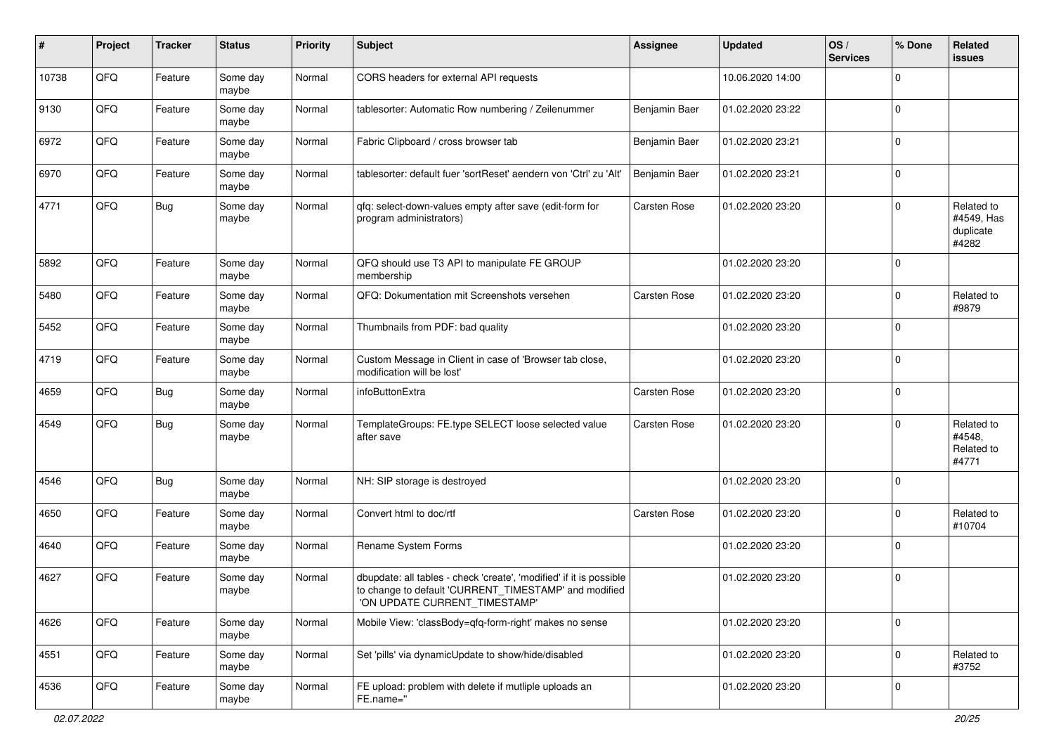| $\#$  | Project | <b>Tracker</b> | <b>Status</b>     | <b>Priority</b> | <b>Subject</b>                                                                                                                                                | <b>Assignee</b>     | <b>Updated</b>   | OS/<br><b>Services</b> | % Done         | Related<br><b>issues</b>                       |
|-------|---------|----------------|-------------------|-----------------|---------------------------------------------------------------------------------------------------------------------------------------------------------------|---------------------|------------------|------------------------|----------------|------------------------------------------------|
| 10738 | QFQ     | Feature        | Some day<br>maybe | Normal          | CORS headers for external API requests                                                                                                                        |                     | 10.06.2020 14:00 |                        | $\mathbf 0$    |                                                |
| 9130  | QFQ     | Feature        | Some day<br>maybe | Normal          | tablesorter: Automatic Row numbering / Zeilenummer                                                                                                            | Benjamin Baer       | 01.02.2020 23:22 |                        | $\mathbf 0$    |                                                |
| 6972  | QFQ     | Feature        | Some day<br>maybe | Normal          | Fabric Clipboard / cross browser tab                                                                                                                          | Benjamin Baer       | 01.02.2020 23:21 |                        | $\Omega$       |                                                |
| 6970  | QFQ     | Feature        | Some day<br>maybe | Normal          | tablesorter: default fuer 'sortReset' aendern von 'Ctrl' zu 'Alt'                                                                                             | Benjamin Baer       | 01.02.2020 23:21 |                        | 0              |                                                |
| 4771  | QFQ     | Bug            | Some day<br>maybe | Normal          | qfq: select-down-values empty after save (edit-form for<br>program administrators)                                                                            | Carsten Rose        | 01.02.2020 23:20 |                        | $\mathbf 0$    | Related to<br>#4549, Has<br>duplicate<br>#4282 |
| 5892  | QFQ     | Feature        | Some day<br>maybe | Normal          | QFQ should use T3 API to manipulate FE GROUP<br>membership                                                                                                    |                     | 01.02.2020 23:20 |                        | $\mathbf 0$    |                                                |
| 5480  | QFQ     | Feature        | Some day<br>maybe | Normal          | QFQ: Dokumentation mit Screenshots versehen                                                                                                                   | <b>Carsten Rose</b> | 01.02.2020 23:20 |                        | $\mathbf 0$    | Related to<br>#9879                            |
| 5452  | QFQ     | Feature        | Some day<br>maybe | Normal          | Thumbnails from PDF: bad quality                                                                                                                              |                     | 01.02.2020 23:20 |                        | $\mathbf 0$    |                                                |
| 4719  | QFQ     | Feature        | Some day<br>maybe | Normal          | Custom Message in Client in case of 'Browser tab close,<br>modification will be lost'                                                                         |                     | 01.02.2020 23:20 |                        | $\mathbf 0$    |                                                |
| 4659  | QFQ     | Bug            | Some day<br>maybe | Normal          | infoButtonExtra                                                                                                                                               | <b>Carsten Rose</b> | 01.02.2020 23:20 |                        | 0              |                                                |
| 4549  | QFQ     | Bug            | Some day<br>maybe | Normal          | TemplateGroups: FE.type SELECT loose selected value<br>after save                                                                                             | <b>Carsten Rose</b> | 01.02.2020 23:20 |                        | $\mathbf 0$    | Related to<br>#4548,<br>Related to<br>#4771    |
| 4546  | QFQ     | <b>Bug</b>     | Some day<br>maybe | Normal          | NH: SIP storage is destroyed                                                                                                                                  |                     | 01.02.2020 23:20 |                        | $\mathbf 0$    |                                                |
| 4650  | QFQ     | Feature        | Some day<br>maybe | Normal          | Convert html to doc/rtf                                                                                                                                       | Carsten Rose        | 01.02.2020 23:20 |                        | $\mathbf 0$    | Related to<br>#10704                           |
| 4640  | QFQ     | Feature        | Some day<br>maybe | Normal          | Rename System Forms                                                                                                                                           |                     | 01.02.2020 23:20 |                        | $\mathbf 0$    |                                                |
| 4627  | QFQ     | Feature        | Some day<br>maybe | Normal          | dbupdate: all tables - check 'create', 'modified' if it is possible<br>to change to default 'CURRENT_TIMESTAMP' and modified<br>'ON UPDATE CURRENT_TIMESTAMP' |                     | 01.02.2020 23:20 |                        | 0              |                                                |
| 4626  | QFQ     | Feature        | Some day<br>maybe | Normal          | Mobile View: 'classBody=qfq-form-right' makes no sense                                                                                                        |                     | 01.02.2020 23:20 |                        | $\mathbf 0$    |                                                |
| 4551  | QFQ     | Feature        | Some day<br>maybe | Normal          | Set 'pills' via dynamicUpdate to show/hide/disabled                                                                                                           |                     | 01.02.2020 23:20 |                        | $\mathbf 0$    | Related to<br>#3752                            |
| 4536  | QFQ     | Feature        | Some day<br>maybe | Normal          | FE upload: problem with delete if mutliple uploads an<br>FE.name="                                                                                            |                     | 01.02.2020 23:20 |                        | $\overline{0}$ |                                                |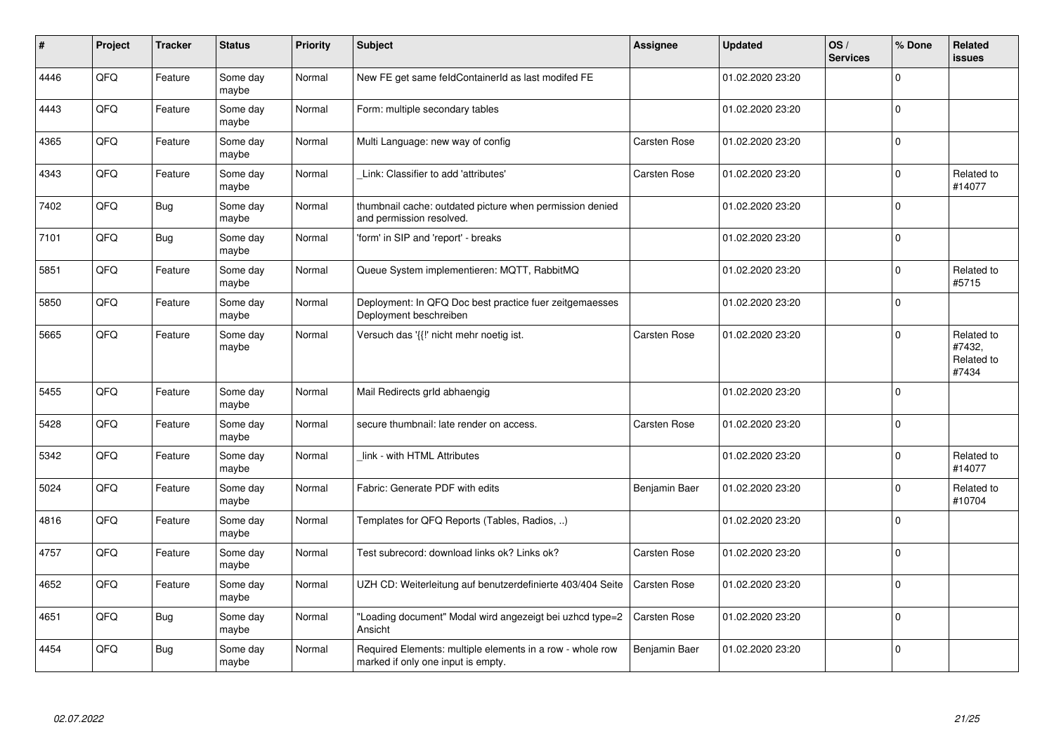| $\vert$ # | Project | <b>Tracker</b> | <b>Status</b>     | Priority | <b>Subject</b>                                                                                  | <b>Assignee</b>     | <b>Updated</b>   | OS/<br><b>Services</b> | % Done      | <b>Related</b><br><b>issues</b>             |
|-----------|---------|----------------|-------------------|----------|-------------------------------------------------------------------------------------------------|---------------------|------------------|------------------------|-------------|---------------------------------------------|
| 4446      | QFQ     | Feature        | Some day<br>maybe | Normal   | New FE get same feldContainerId as last modifed FE                                              |                     | 01.02.2020 23:20 |                        | $\Omega$    |                                             |
| 4443      | QFQ     | Feature        | Some day<br>maybe | Normal   | Form: multiple secondary tables                                                                 |                     | 01.02.2020 23:20 |                        | $\mathbf 0$ |                                             |
| 4365      | QFQ     | Feature        | Some day<br>maybe | Normal   | Multi Language: new way of config                                                               | Carsten Rose        | 01.02.2020 23:20 |                        | $\mathbf 0$ |                                             |
| 4343      | QFQ     | Feature        | Some day<br>maybe | Normal   | Link: Classifier to add 'attributes'                                                            | Carsten Rose        | 01.02.2020 23:20 |                        | $\mathbf 0$ | Related to<br>#14077                        |
| 7402      | QFQ     | <b>Bug</b>     | Some day<br>maybe | Normal   | thumbnail cache: outdated picture when permission denied<br>and permission resolved.            |                     | 01.02.2020 23:20 |                        | $\Omega$    |                                             |
| 7101      | QFQ     | Bug            | Some day<br>maybe | Normal   | 'form' in SIP and 'report' - breaks                                                             |                     | 01.02.2020 23:20 |                        | $\mathbf 0$ |                                             |
| 5851      | QFQ     | Feature        | Some day<br>maybe | Normal   | Queue System implementieren: MQTT, RabbitMQ                                                     |                     | 01.02.2020 23:20 |                        | $\mathbf 0$ | Related to<br>#5715                         |
| 5850      | QFQ     | Feature        | Some day<br>maybe | Normal   | Deployment: In QFQ Doc best practice fuer zeitgemaesses<br>Deployment beschreiben               |                     | 01.02.2020 23:20 |                        | $\Omega$    |                                             |
| 5665      | QFQ     | Feature        | Some day<br>maybe | Normal   | Versuch das '{{!' nicht mehr noetig ist.                                                        | <b>Carsten Rose</b> | 01.02.2020 23:20 |                        | 0           | Related to<br>#7432,<br>Related to<br>#7434 |
| 5455      | QFQ     | Feature        | Some day<br>maybe | Normal   | Mail Redirects grld abhaengig                                                                   |                     | 01.02.2020 23:20 |                        | $\Omega$    |                                             |
| 5428      | QFQ     | Feature        | Some day<br>maybe | Normal   | secure thumbnail: late render on access.                                                        | Carsten Rose        | 01.02.2020 23:20 |                        | $\mathbf 0$ |                                             |
| 5342      | QFQ     | Feature        | Some day<br>maybe | Normal   | link - with HTML Attributes                                                                     |                     | 01.02.2020 23:20 |                        | 0           | Related to<br>#14077                        |
| 5024      | QFQ     | Feature        | Some day<br>maybe | Normal   | Fabric: Generate PDF with edits                                                                 | Benjamin Baer       | 01.02.2020 23:20 |                        | 0           | Related to<br>#10704                        |
| 4816      | QFQ     | Feature        | Some day<br>maybe | Normal   | Templates for QFQ Reports (Tables, Radios, )                                                    |                     | 01.02.2020 23:20 |                        | $\mathbf 0$ |                                             |
| 4757      | QFQ     | Feature        | Some day<br>maybe | Normal   | Test subrecord: download links ok? Links ok?                                                    | Carsten Rose        | 01.02.2020 23:20 |                        | $\mathbf 0$ |                                             |
| 4652      | QFQ     | Feature        | Some day<br>maybe | Normal   | UZH CD: Weiterleitung auf benutzerdefinierte 403/404 Seite                                      | <b>Carsten Rose</b> | 01.02.2020 23:20 |                        | $\mathbf 0$ |                                             |
| 4651      | QFQ     | <b>Bug</b>     | Some day<br>maybe | Normal   | "Loading document" Modal wird angezeigt bei uzhcd type=2<br>Ansicht                             | Carsten Rose        | 01.02.2020 23:20 |                        | $\Omega$    |                                             |
| 4454      | QFQ     | Bug            | Some day<br>maybe | Normal   | Required Elements: multiple elements in a row - whole row<br>marked if only one input is empty. | Benjamin Baer       | 01.02.2020 23:20 |                        | $\mathbf 0$ |                                             |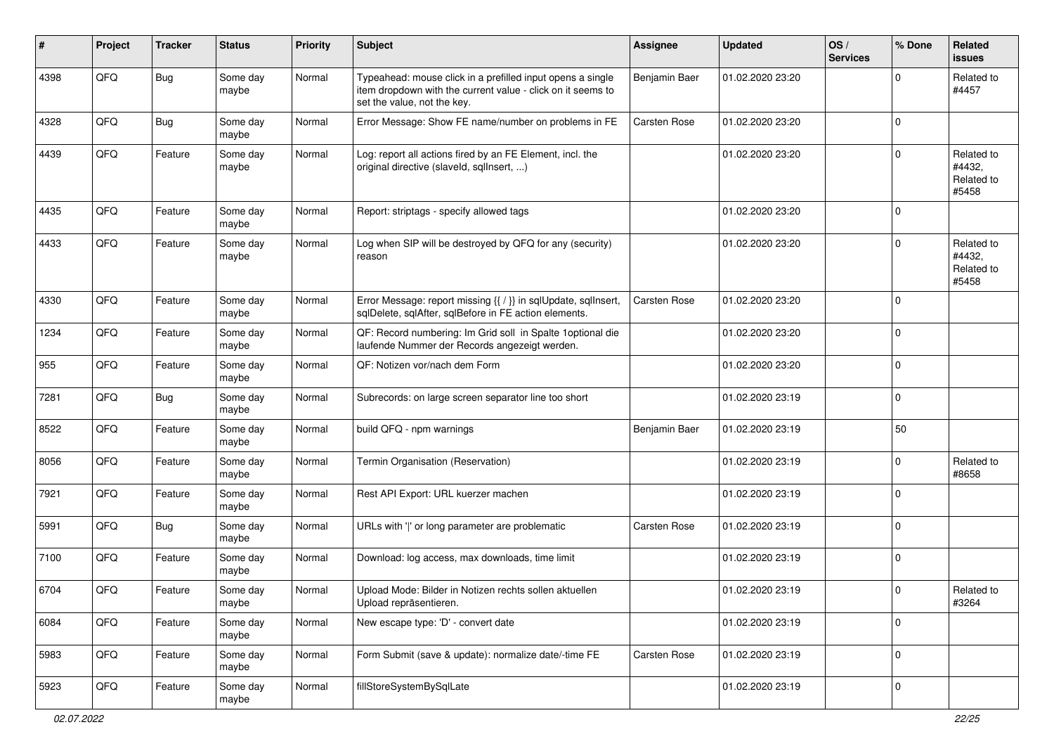| ∦    | Project | <b>Tracker</b> | <b>Status</b>     | <b>Priority</b> | <b>Subject</b>                                                                                                                                           | Assignee            | <b>Updated</b>   | OS/<br><b>Services</b> | % Done         | <b>Related</b><br><b>issues</b>             |
|------|---------|----------------|-------------------|-----------------|----------------------------------------------------------------------------------------------------------------------------------------------------------|---------------------|------------------|------------------------|----------------|---------------------------------------------|
| 4398 | QFQ     | <b>Bug</b>     | Some day<br>maybe | Normal          | Typeahead: mouse click in a prefilled input opens a single<br>item dropdown with the current value - click on it seems to<br>set the value, not the key. | Benjamin Baer       | 01.02.2020 23:20 |                        | 0              | Related to<br>#4457                         |
| 4328 | QFQ     | <b>Bug</b>     | Some day<br>maybe | Normal          | Error Message: Show FE name/number on problems in FE                                                                                                     | Carsten Rose        | 01.02.2020 23:20 |                        | $\mathbf 0$    |                                             |
| 4439 | QFQ     | Feature        | Some day<br>maybe | Normal          | Log: report all actions fired by an FE Element, incl. the<br>original directive (slaveld, sqllnsert, )                                                   |                     | 01.02.2020 23:20 |                        | $\mathbf 0$    | Related to<br>#4432,<br>Related to<br>#5458 |
| 4435 | QFQ     | Feature        | Some day<br>maybe | Normal          | Report: striptags - specify allowed tags                                                                                                                 |                     | 01.02.2020 23:20 |                        | $\mathbf 0$    |                                             |
| 4433 | QFQ     | Feature        | Some day<br>maybe | Normal          | Log when SIP will be destroyed by QFQ for any (security)<br>reason                                                                                       |                     | 01.02.2020 23:20 |                        | $\mathbf 0$    | Related to<br>#4432,<br>Related to<br>#5458 |
| 4330 | QFQ     | Feature        | Some day<br>maybe | Normal          | Error Message: report missing {{ / }} in sqlUpdate, sqlInsert,<br>sqlDelete, sqlAfter, sqlBefore in FE action elements.                                  | Carsten Rose        | 01.02.2020 23:20 |                        | $\mathbf 0$    |                                             |
| 1234 | QFQ     | Feature        | Some day<br>maybe | Normal          | QF: Record numbering: Im Grid soll in Spalte 1 optional die<br>laufende Nummer der Records angezeigt werden.                                             |                     | 01.02.2020 23:20 |                        | $\mathbf 0$    |                                             |
| 955  | QFQ     | Feature        | Some day<br>maybe | Normal          | QF: Notizen vor/nach dem Form                                                                                                                            |                     | 01.02.2020 23:20 |                        | $\mathbf 0$    |                                             |
| 7281 | QFQ     | <b>Bug</b>     | Some day<br>maybe | Normal          | Subrecords: on large screen separator line too short                                                                                                     |                     | 01.02.2020 23:19 |                        | $\mathbf 0$    |                                             |
| 8522 | QFQ     | Feature        | Some day<br>maybe | Normal          | build QFQ - npm warnings                                                                                                                                 | Benjamin Baer       | 01.02.2020 23:19 |                        | 50             |                                             |
| 8056 | QFQ     | Feature        | Some day<br>maybe | Normal          | Termin Organisation (Reservation)                                                                                                                        |                     | 01.02.2020 23:19 |                        | 0              | Related to<br>#8658                         |
| 7921 | QFQ     | Feature        | Some day<br>maybe | Normal          | Rest API Export: URL kuerzer machen                                                                                                                      |                     | 01.02.2020 23:19 |                        | $\mathbf 0$    |                                             |
| 5991 | QFQ     | <b>Bug</b>     | Some day<br>maybe | Normal          | URLs with ' ' or long parameter are problematic                                                                                                          | <b>Carsten Rose</b> | 01.02.2020 23:19 |                        | 0              |                                             |
| 7100 | QFQ     | Feature        | Some day<br>maybe | Normal          | Download: log access, max downloads, time limit                                                                                                          |                     | 01.02.2020 23:19 |                        | $\mathbf 0$    |                                             |
| 6704 | QFQ     | Feature        | Some day<br>maybe | Normal          | Upload Mode: Bilder in Notizen rechts sollen aktuellen<br>Upload repräsentieren.                                                                         |                     | 01.02.2020 23:19 |                        | $\mathbf 0$    | Related to<br>#3264                         |
| 6084 | QFO     | Feature        | Some day<br>maybe | Normal          | New escape type: 'D' - convert date                                                                                                                      |                     | 01.02.2020 23:19 |                        | $\mathbf 0$    |                                             |
| 5983 | QFQ     | Feature        | Some day<br>maybe | Normal          | Form Submit (save & update): normalize date/-time FE                                                                                                     | Carsten Rose        | 01.02.2020 23:19 |                        | $\mathbf 0$    |                                             |
| 5923 | QFO     | Feature        | Some day<br>maybe | Normal          | fillStoreSystemBySqlLate                                                                                                                                 |                     | 01.02.2020 23:19 |                        | $\overline{0}$ |                                             |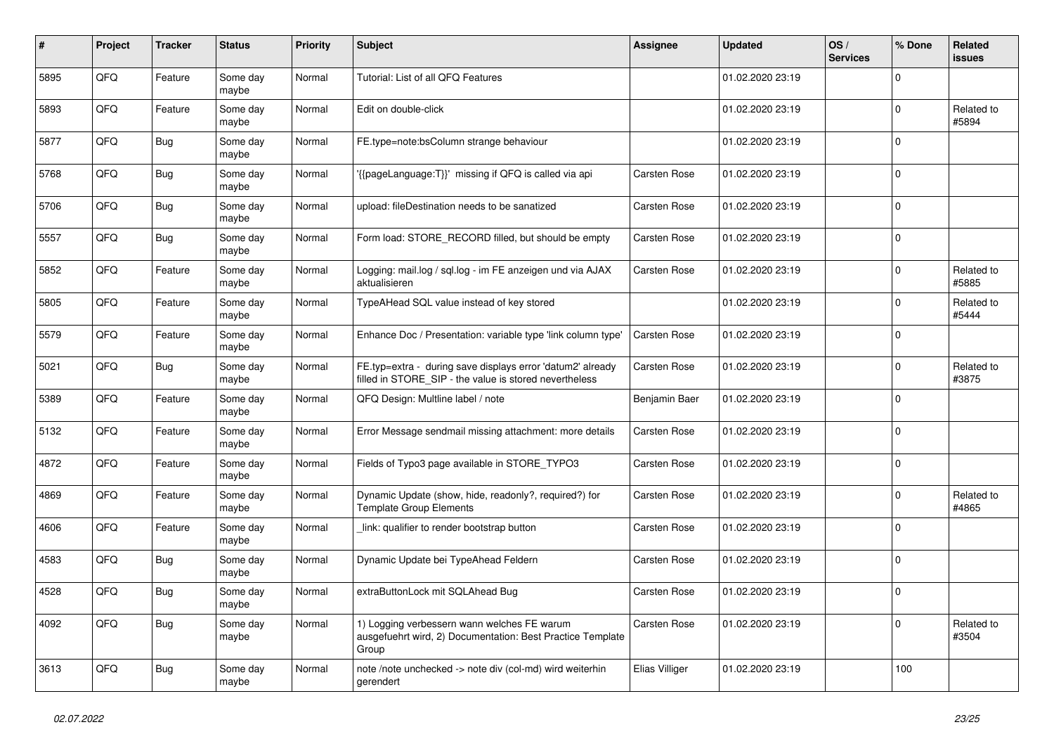| #    | Project | <b>Tracker</b> | <b>Status</b>     | <b>Priority</b> | <b>Subject</b>                                                                                                       | Assignee            | <b>Updated</b>   | OS/<br><b>Services</b> | % Done      | Related<br><b>issues</b> |
|------|---------|----------------|-------------------|-----------------|----------------------------------------------------------------------------------------------------------------------|---------------------|------------------|------------------------|-------------|--------------------------|
| 5895 | QFQ     | Feature        | Some day<br>maybe | Normal          | Tutorial: List of all QFQ Features                                                                                   |                     | 01.02.2020 23:19 |                        | $\Omega$    |                          |
| 5893 | QFQ     | Feature        | Some day<br>maybe | Normal          | Edit on double-click                                                                                                 |                     | 01.02.2020 23:19 |                        | $\Omega$    | Related to<br>#5894      |
| 5877 | QFQ     | Bug            | Some day<br>maybe | Normal          | FE.type=note:bsColumn strange behaviour                                                                              |                     | 01.02.2020 23:19 |                        | $\Omega$    |                          |
| 5768 | QFQ     | <b>Bug</b>     | Some day<br>maybe | Normal          | {{pageLanguage:T}}' missing if QFQ is called via api                                                                 | <b>Carsten Rose</b> | 01.02.2020 23:19 |                        | $\mathbf 0$ |                          |
| 5706 | QFQ     | <b>Bug</b>     | Some day<br>maybe | Normal          | upload: fileDestination needs to be sanatized                                                                        | Carsten Rose        | 01.02.2020 23:19 |                        | $\Omega$    |                          |
| 5557 | QFQ     | <b>Bug</b>     | Some day<br>maybe | Normal          | Form load: STORE RECORD filled, but should be empty                                                                  | Carsten Rose        | 01.02.2020 23:19 |                        | $\Omega$    |                          |
| 5852 | QFQ     | Feature        | Some day<br>maybe | Normal          | Logging: mail.log / sql.log - im FE anzeigen und via AJAX<br>aktualisieren                                           | Carsten Rose        | 01.02.2020 23:19 |                        | $\mathbf 0$ | Related to<br>#5885      |
| 5805 | QFQ     | Feature        | Some day<br>maybe | Normal          | TypeAHead SQL value instead of key stored                                                                            |                     | 01.02.2020 23:19 |                        | 0           | Related to<br>#5444      |
| 5579 | QFQ     | Feature        | Some day<br>maybe | Normal          | Enhance Doc / Presentation: variable type 'link column type'                                                         | Carsten Rose        | 01.02.2020 23:19 |                        | $\Omega$    |                          |
| 5021 | QFQ     | Bug            | Some day<br>maybe | Normal          | FE.typ=extra - during save displays error 'datum2' already<br>filled in STORE_SIP - the value is stored nevertheless | Carsten Rose        | 01.02.2020 23:19 |                        | $\mathbf 0$ | Related to<br>#3875      |
| 5389 | QFQ     | Feature        | Some day<br>maybe | Normal          | QFQ Design: Multline label / note                                                                                    | Benjamin Baer       | 01.02.2020 23:19 |                        | 0           |                          |
| 5132 | QFQ     | Feature        | Some dav<br>maybe | Normal          | Error Message sendmail missing attachment: more details                                                              | Carsten Rose        | 01.02.2020 23:19 |                        | $\Omega$    |                          |
| 4872 | QFQ     | Feature        | Some day<br>maybe | Normal          | Fields of Typo3 page available in STORE_TYPO3                                                                        | Carsten Rose        | 01.02.2020 23:19 |                        | $\mathbf 0$ |                          |
| 4869 | QFQ     | Feature        | Some day<br>maybe | Normal          | Dynamic Update (show, hide, readonly?, required?) for<br><b>Template Group Elements</b>                              | <b>Carsten Rose</b> | 01.02.2020 23:19 |                        | $\mathbf 0$ | Related to<br>#4865      |
| 4606 | QFQ     | Feature        | Some dav<br>maybe | Normal          | link: qualifier to render bootstrap button                                                                           | <b>Carsten Rose</b> | 01.02.2020 23:19 |                        | $\Omega$    |                          |
| 4583 | QFQ     | Bug            | Some day<br>maybe | Normal          | Dynamic Update bei TypeAhead Feldern                                                                                 | <b>Carsten Rose</b> | 01.02.2020 23:19 |                        | $\Omega$    |                          |
| 4528 | QFQ     | Bug            | Some day<br>maybe | Normal          | extraButtonLock mit SQLAhead Bug                                                                                     | Carsten Rose        | 01.02.2020 23:19 |                        | $\mathbf 0$ |                          |
| 4092 | QFQ     | <b>Bug</b>     | Some day<br>maybe | Normal          | 1) Logging verbessern wann welches FE warum<br>ausgefuehrt wird, 2) Documentation: Best Practice Template<br>Group   | Carsten Rose        | 01.02.2020 23:19 |                        | $\Omega$    | Related to<br>#3504      |
| 3613 | QFQ     | Bug            | Some day<br>maybe | Normal          | note /note unchecked -> note div (col-md) wird weiterhin<br>gerendert                                                | Elias Villiger      | 01.02.2020 23:19 |                        | 100         |                          |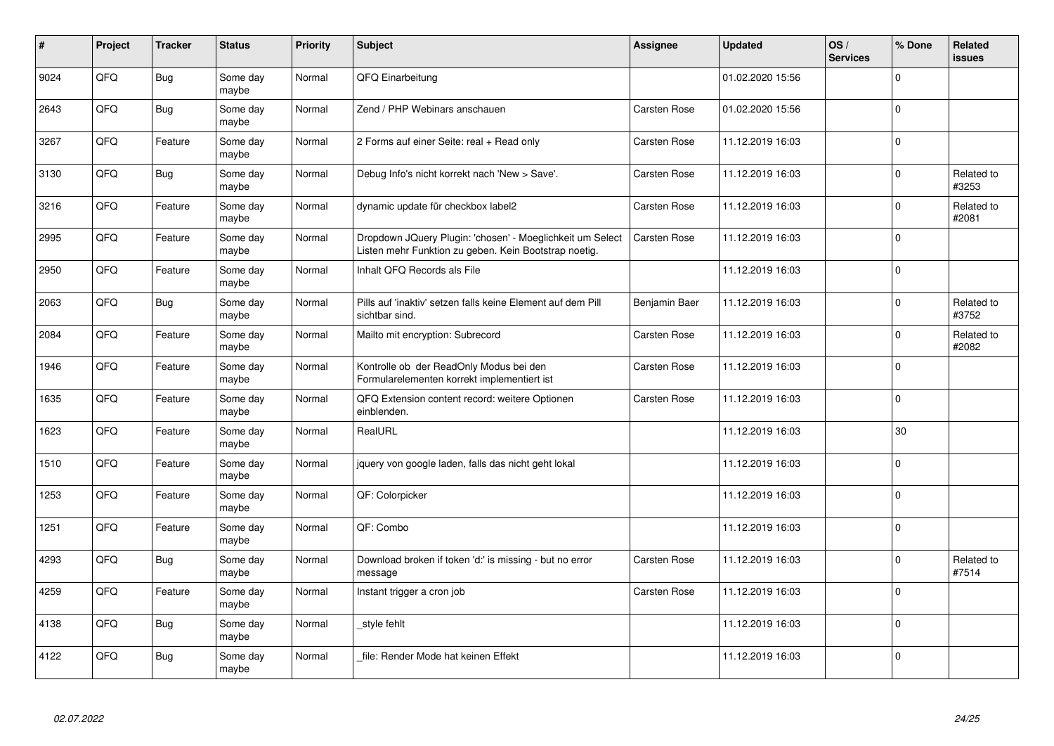| #    | Project | <b>Tracker</b> | <b>Status</b>     | Priority | <b>Subject</b>                                                                                                     | <b>Assignee</b>     | <b>Updated</b>   | OS/<br><b>Services</b> | % Done       | <b>Related</b><br><b>issues</b> |
|------|---------|----------------|-------------------|----------|--------------------------------------------------------------------------------------------------------------------|---------------------|------------------|------------------------|--------------|---------------------------------|
| 9024 | QFQ     | Bug            | Some day<br>maybe | Normal   | QFQ Einarbeitung                                                                                                   |                     | 01.02.2020 15:56 |                        | $\Omega$     |                                 |
| 2643 | QFQ     | <b>Bug</b>     | Some day<br>maybe | Normal   | Zend / PHP Webinars anschauen                                                                                      | <b>Carsten Rose</b> | 01.02.2020 15:56 |                        | $\Omega$     |                                 |
| 3267 | QFQ     | Feature        | Some day<br>maybe | Normal   | 2 Forms auf einer Seite: real + Read only                                                                          | <b>Carsten Rose</b> | 11.12.2019 16:03 |                        | $\mathbf 0$  |                                 |
| 3130 | QFQ     | Bug            | Some day<br>maybe | Normal   | Debug Info's nicht korrekt nach 'New > Save'.                                                                      | <b>Carsten Rose</b> | 11.12.2019 16:03 |                        | $\Omega$     | Related to<br>#3253             |
| 3216 | QFQ     | Feature        | Some day<br>maybe | Normal   | dynamic update für checkbox label2                                                                                 | <b>Carsten Rose</b> | 11.12.2019 16:03 |                        | $\Omega$     | Related to<br>#2081             |
| 2995 | QFQ     | Feature        | Some day<br>maybe | Normal   | Dropdown JQuery Plugin: 'chosen' - Moeglichkeit um Select<br>Listen mehr Funktion zu geben. Kein Bootstrap noetig. | Carsten Rose        | 11.12.2019 16:03 |                        | $\mathbf{0}$ |                                 |
| 2950 | QFQ     | Feature        | Some day<br>maybe | Normal   | Inhalt QFQ Records als File                                                                                        |                     | 11.12.2019 16:03 |                        | $\Omega$     |                                 |
| 2063 | QFQ     | <b>Bug</b>     | Some day<br>maybe | Normal   | Pills auf 'inaktiv' setzen falls keine Element auf dem Pill<br>sichtbar sind.                                      | Benjamin Baer       | 11.12.2019 16:03 |                        | $\Omega$     | Related to<br>#3752             |
| 2084 | QFQ     | Feature        | Some day<br>maybe | Normal   | Mailto mit encryption: Subrecord                                                                                   | <b>Carsten Rose</b> | 11.12.2019 16:03 |                        | $\mathbf 0$  | Related to<br>#2082             |
| 1946 | QFQ     | Feature        | Some day<br>maybe | Normal   | Kontrolle ob der ReadOnly Modus bei den<br>Formularelementen korrekt implementiert ist                             | Carsten Rose        | 11.12.2019 16:03 |                        | $\mathbf 0$  |                                 |
| 1635 | QFQ     | Feature        | Some day<br>maybe | Normal   | QFQ Extension content record: weitere Optionen<br>einblenden.                                                      | Carsten Rose        | 11.12.2019 16:03 |                        | $\Omega$     |                                 |
| 1623 | QFQ     | Feature        | Some day<br>maybe | Normal   | RealURL                                                                                                            |                     | 11.12.2019 16:03 |                        | 30           |                                 |
| 1510 | QFQ     | Feature        | Some day<br>maybe | Normal   | jquery von google laden, falls das nicht geht lokal                                                                |                     | 11.12.2019 16:03 |                        | $\mathbf{0}$ |                                 |
| 1253 | QFQ     | Feature        | Some day<br>maybe | Normal   | QF: Colorpicker                                                                                                    |                     | 11.12.2019 16:03 |                        | $\mathsf 0$  |                                 |
| 1251 | QFQ     | Feature        | Some day<br>maybe | Normal   | QF: Combo                                                                                                          |                     | 11.12.2019 16:03 |                        | $\Omega$     |                                 |
| 4293 | QFQ     | Bug            | Some day<br>maybe | Normal   | Download broken if token 'd:' is missing - but no error<br>message                                                 | <b>Carsten Rose</b> | 11.12.2019 16:03 |                        | $\Omega$     | Related to<br>#7514             |
| 4259 | QFQ     | Feature        | Some day<br>maybe | Normal   | Instant trigger a cron job                                                                                         | Carsten Rose        | 11.12.2019 16:03 |                        | $\Omega$     |                                 |
| 4138 | QFQ     | Bug            | Some day<br>maybe | Normal   | _style fehlt                                                                                                       |                     | 11.12.2019 16:03 |                        | $\Omega$     |                                 |
| 4122 | QFQ     | Bug            | Some day<br>maybe | Normal   | file: Render Mode hat keinen Effekt                                                                                |                     | 11.12.2019 16:03 |                        | $\Omega$     |                                 |